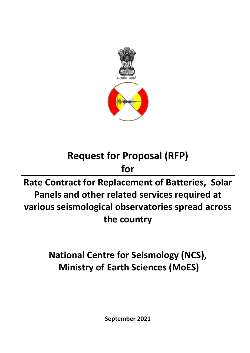

## **Request for Proposal (RFP)**

### **for**

## **Rate Contract for Replacement of Batteries, Solar Panels and other related services required at various seismological observatories spread across the country**

## **National Centre for Seismology (NCS), Ministry of Earth Sciences (MoES)**

**September 2021**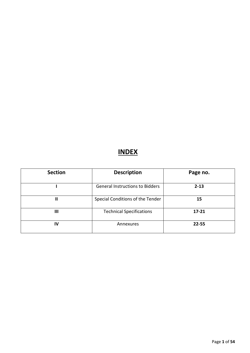#### **INDEX**

| <b>Section</b>        | <b>Description</b>                     | Page no.  |
|-----------------------|----------------------------------------|-----------|
|                       | <b>General Instructions to Bidders</b> | $2 - 13$  |
| $\mathbf{\mathsf{I}}$ | Special Conditions of the Tender<br>15 |           |
| Ш                     | <b>Technical Specifications</b>        | $17 - 21$ |
| IV                    | Annexures                              | $22 - 55$ |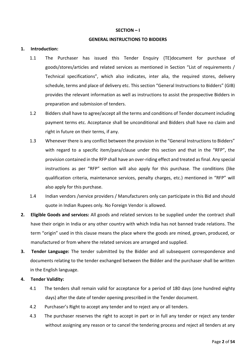#### **SECTION – I**

#### **GENERAL INSTRUCTIONS TO BIDDERS**

#### **1. Introduction:**

- 1.1 The Purchaser has issued this Tender Enquiry (TE)document for purchase of goods/stores/articles and related services as mentioned in Section "List of requirements / Technical specifications", which also indicates, inter alia, the required stores, delivery schedule, terms and place of delivery etc. This section "General Instructions to Bidders" (GIB) provides the relevant information as well as instructions to assist the prospective Bidders in preparation and submission of tenders.
- 1.2 Bidders shall have to agree/accept all the terms and conditions of Tender document including payment terms etc. Acceptance shall be unconditional and Bidders shall have no claim and right in future on their terms, if any.
- 1.3 Whenever there is any conflict between the provision in the "General Instructions to Bidders" with regard to a specific item/para/clause under this section and that in the "RFP", the provision contained in the RFP shall have an over-riding effect and treated as final. Any special instructions as per "RFP" section will also apply for this purchase. The conditions (like qualification criteria, maintenance services, penalty charges, etc.) mentioned in "RFP" will also apply for this purchase.
- 1.4 Indian vendors /service providers / Manufacturers only can participate in this Bid and should quote in Indian Rupees only. No Foreign Vendor is allowed.
- **2. Eligible Goods and services:** All goods and related services to be supplied under the contract shall have their origin in India or any other country with which India has not banned trade relations. The term "origin" used in this clause means the place where the goods are mined, grown, produced, or manufactured or from where the related services are arranged and supplied.
- **3. Tender Language:** The tender submitted by the Bidder and all subsequent correspondence and documents relating to the tender exchanged between the Bidder and the purchaser shall be written in the English language.

#### **4. Tender Validity:**

- 4.1 The tenders shall remain valid for acceptance for a period of 180 days (one hundred eighty days) after the date of tender opening prescribed in the Tender document.
- 4.2 Purchaser's Right to accept any tender and to reject any or all tenders.
- 4.3 The purchaser reserves the right to accept in part or in full any tender or reject any tender without assigning any reason or to cancel the tendering process and reject all tenders at any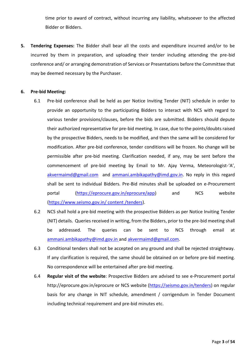time prior to award of contract, without incurring any liability, whatsoever to the affected Bidder or Bidders.

**5. Tendering Expenses:** The Bidder shall bear all the costs and expenditure incurred and/or to be incurred by them in preparation, and uploading their tender including attending the pre-bid conference and/ or arranging demonstration of Services or Presentations before the Committee that may be deemed necessary by the Purchaser.

#### **6. Pre-bid Meeting:**

- 6.1 Pre-bid conference shall be held as per Notice Inviting Tender (NIT) schedule in order to provide an opportunity to the participating Bidders to interact with NCS with regard to various tender provisions/clauses, before the bids are submitted. Bidders should depute their authorized representative for pre-bid meeting. In case, due to the points/doubts raised by the prospective Bidders, needs to be modified, and then the same will be considered for modification. After pre-bid conference, tender conditions will be frozen. No change will be permissible after pre-bid meeting. Clarification needed, if any, may be sent before the commencement of pre-bid meeting by Email to Mr. Ajay Verma, Meteorologist-'A', [akvermaimd@gmail.com](mailto:akvermaimd@gmail.com) and [ammani.ambikapathy@imd.gov.in.](mailto:ammani.ambikapathy@imd.gov.in) No reply in this regard shall be sent to individual Bidders. Pre-Bid minutes shall be uploaded on e-Procurement portal [\(https://eprocure.gov.in/eprocure/app\)](https://eprocure.gov.in/eprocure/app) and NCS website [\(https://www.seismo.gov.in/ content /tenders\)](https://www.seismo.gov.in/%20content%20/tenders).
- 6.2 NCS shall hold a pre-bid meeting with the prospective Bidders as per Notice Inviting Tender (NIT) details. Queries received in writing, from the Bidders, prior to the pre-bid meeting shall be addressed. The queries can be sent to NCS through email at [ammani.ambikapathy@imd.gov.in](mailto:ammani.ambikapathy@imd.gov.in) and [akvermaimd@gmail.com.](mailto:akvermaimd@gmail.com)
- 6.3 Conditional tenders shall not be accepted on any ground and shall be rejected straightway. If any clarification is required, the same should be obtained on or before pre-bid meeting. No correspondence will be entertained after pre-bid meeting.
- 6.4 **Regular visit of the website**: Prospective Bidders are advised to see e-Procurement portal http://eprocure.gov.in/eprocure or NCS website (https://seismo.gov.in/tenders) on regular basis for any change in NIT schedule, amendment / corrigendum in Tender Document including technical requirement and pre-bid minutes etc.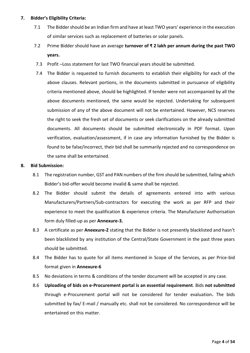#### **7. Bidder's Eligibility Criteria:**

- 7.1 The Bidder should be an Indian firm and have at least TWO years' experience in the execution of similar services such as replacement of batteries or solar panels.
- 7.2 Prime Bidder should have an average **turnover of ₹ 2 lakh per annum during the past TWO years.**
- 7.3 Profit –Loss statement for last TWO financial years should be submitted.
- 7.4 The Bidder is requested to furnish documents to establish their eligibility for each of the above clauses. Relevant portions, in the documents submitted in pursuance of eligibility criteria mentioned above, should be highlighted. If tender were not accompanied by all the above documents mentioned, the same would be rejected. Undertaking for subsequent submission of any of the above document will not be entertained. However, NCS reserves the right to seek the fresh set of documents or seek clarifications on the already submitted documents. All documents should be submitted electronically in PDF format. Upon verification, evaluation/assessment, if in case any information furnished by the Bidder is found to be false/incorrect, their bid shall be summarily rejected and no correspondence on the same shall be entertained.

#### **8. Bid Submission:**

- 8.1 The registration number, GST and PAN numbers of the firm should be submitted, failing which Bidder's bid-offer would become invalid & same shall be rejected.
- 8.2 The Bidder should submit the details of agreements entered into with various Manufacturers/Partners/Sub-contractors for executing the work as per RFP and their experience to meet the qualification & experience criteria. The Manufacturer Authorisation form duly filled-up as per **Annexure-3.**
- 8.3 A certificate as per **Aneexure-2** stating that the Bidder is not presently blacklisted and hasn't been blacklisted by any institution of the Central/State Government in the past three years should be submitted.
- 8.4 The Bidder has to quote for all items mentioned in Scope of the Services, as per Price-bid format given in **Annexure-6**
- 8.5 No deviations in terms & conditions of the tender document will be accepted in any case.
- 8.6 **Uploading of bids on e-Procurement portal is an essential requirement**. Bids **not submitted** through e-Procurement portal will not be considered for tender evaluation**.** The bids submitted by fax/ E-mail / manually etc. shall not be considered. No correspondence will be entertained on this matter.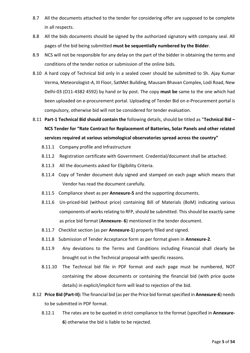- 8.7 All the documents attached to the tender for considering offer are supposed to be complete in all respects.
- 8.8 All the bids documents should be signed by the authorized signatory with company seal. All pages of the bid being submitted **must be sequentially numbered by the Bidder**.
- 8.9 NCS will not be responsible for any delay on the part of the bidder in obtaining the terms and conditions of the tender notice or submission of the online bids.
- 8.10 A hard copy of Technical bid only in a sealed cover should be submitted to Sh. Ajay Kumar Verma, Meteorologist-A, III Floor, SatMet Building, Mausam Bhavan Complex, Lodi Road, New Delhi-03 (O11-4382 4592) by hand or by post. The copy **must be** same to the one which had been uploaded on e-procurement portal. Uploading of Tender Bid on e-Procurement portal is compulsory, otherwise bid will not be considered for tender evaluation.
- 8.11 **Part-1 Technical Bid should contain the** following details, should be titled as "**Technical Bid – NCS Tender for "Rate Contract for Replacement of Batteries, Solar Panels and other related services required at various seismological observatories spread across the country"**
	- 8.11.1 Company profile and Infrastructure
	- 8.11.2 Registration certificate with Government. Credential/document shall be attached.
	- 8.11.3 All the documents asked for Eligibility Criteria.
	- 8.11.4 Copy of Tender document duly signed and stamped on each page which means that Vendor has read the document carefully.
	- 8.11.5 Compliance sheet as per **Annexure-5** and the supporting documents.
	- 8.11.6 Un-priced-bid (without price) containing Bill of Materials (BoM) indicating various components of works relating to RFP, should be submitted. This should be exactly same as price bid format (**Annexure- 6**) mentioned in the tender document.
	- 8.11.7 Checklist section (as per **Annexure-1**) properly filled and signed.
	- 8.11.8 Submission of Tender Acceptance form as per format given in **Annexure-2**.
	- 8.11.9 Any deviations to the Terms and Conditions including Financial shall clearly be brought out in the Technical proposal with specific reasons.
	- 8.11.10 The Technical bid file in PDF format and each page must be numbered, NOT containing the above documents or containing the financial bid (with price quote details) in explicit/implicit form will lead to rejection of the bid.
- 8.12 **Price Bid (Part-II):** The financial bid (as per the Price bid format specified in **Annexure-6**) needs to be submitted in PDF format.
	- 8.12.1 The rates are to be quoted in strict compliance to the format (specified in **Annexure-6**) otherwise the bid is liable to be rejected.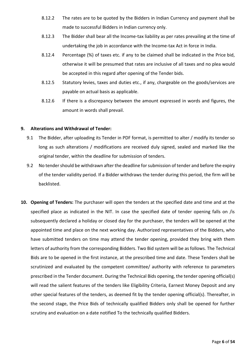- 8.12.2 The rates are to be quoted by the Bidders in Indian Currency and payment shall be made to successful Bidders in Indian currency only.
- 8.12.3 The Bidder shall bear all the Income-tax liability as per rates prevailing at the time of undertaking the job in accordance with the Income-tax Act in force in India.
- 8.12.4 Percentage (%) of taxes etc. if any to be claimed shall be indicated in the Price bid, otherwise it will be presumed that rates are inclusive of all taxes and no plea would be accepted in this regard after opening of the Tender bids.
- 8.12.5 Statutory levies, taxes and duties etc., if any, chargeable on the goods/services are payable on actual basis as applicable.
- 8.12.6 If there is a discrepancy between the amount expressed in words and figures, the amount in words shall prevail.

#### **9. Alterations and Withdrawal of Tender:**

- 9.1 The Bidder, after uploading its Tender in PDF format, is permitted to alter / modify its tender so long as such alterations / modifications are received duly signed, sealed and marked like the original tender, within the deadline for submission of tenders.
- 9.2 No tender should be withdrawn after the deadline for submission of tender and before the expiry of the tender validity period. If a Bidder withdraws the tender during this period, the firm will be backlisted.
- **10. Opening of Tenders:** The purchaser will open the tenders at the specified date and time and at the specified place as indicated in the NIT. In case the specified date of tender opening falls on /is subsequently declared a holiday or closed day for the purchaser, the tenders will be opened at the appointed time and place on the next working day. Authorized representatives of the Bidders, who have submitted tenders on time may attend the tender opening, provided they bring with them letters of authority from the corresponding Bidders. Two Bid system will be as follows. The Technical Bids are to be opened in the first instance, at the prescribed time and date. These Tenders shall be scrutinized and evaluated by the competent committee/ authority with reference to parameters prescribed in the Tender document. During the Technical Bids opening, the tender opening official(s) will read the salient features of the tenders like Eligibility Criteria, Earnest Money Deposit and any other special features of the tenders, as deemed fit by the tender opening official(s). Thereafter, in the second stage, the Price Bids of technically qualified Bidders only shall be opened for further scrutiny and evaluation on a date notified To the technically qualified Bidders.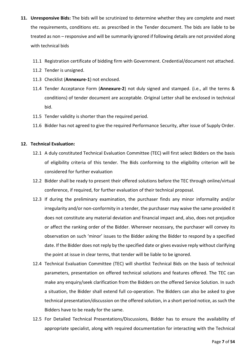- **11. Unresponsive Bids:** The bids will be scrutinized to determine whether they are complete and meet the requirements, conditions etc. as prescribed in the Tender document. The bids are liable to be treated as non – responsive and will be summarily ignored if following details are not provided along with technical bids
	- 11.1 Registration certificate of bidding firm with Government. Credential/document not attached.
	- 11.2 Tender is unsigned.
	- 11.3 Checklist (**Annexure-1**) not enclosed.
	- 11.4 Tender Acceptance Form (**Annexure-2**) not duly signed and stamped. (i.e., all the terms & conditions) of tender document are acceptable. Original Letter shall be enclosed in technical bid.
	- 11.5 Tender validity is shorter than the required period.
	- 11.6 Bidder has not agreed to give the required Performance Security, after issue of Supply Order.

#### **12. Technical Evaluation:**

- 12.1 A duly constituted Technical Evaluation Committee (TEC) will first select Bidders on the basis of eligibility criteria of this tender. The Bids conforming to the eligibility criterion will be considered for further evaluation
- 12.2 Bidder shall be ready to present their offered solutions before the TEC through online/virtual conference, if required, for further evaluation of their technical proposal.
- 12.3 If during the preliminary examination, the purchaser finds any minor informality and/or irregularity and/or non-conformity in a tender, the purchaser may waive the same provided it does not constitute any material deviation and financial impact and, also, does not prejudice or affect the ranking order of the Bidder. Wherever necessary, the purchaser will convey its observation on such 'minor' issues to the Bidder asking the Bidder to respond by a specified date. If the Bidder does not reply by the specified date or gives evasive reply without clarifying the point at issue in clear terms, that tender will be liable to be ignored.
- 12.4 Technical Evaluation Committee (TEC) will shortlist Technical Bids on the basis of technical parameters, presentation on offered technical solutions and features offered. The TEC can make any enquiry/seek clarification from the Bidders on the offered Service Solution. In such a situation, the Bidder shall extend full co-operation. The Bidders can also be asked to give technical presentation/discussion on the offered solution, in a short period notice, as such the Bidders have to be ready for the same.
- 12.5 For Detailed Technical Presentations/Discussions, Bidder has to ensure the availability of appropriate specialist, along with required documentation for interacting with the Technical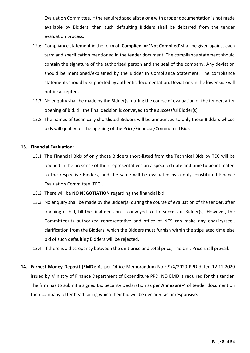Evaluation Committee. If the required specialist along with proper documentation is not made available by Bidders, then such defaulting Bidders shall be debarred from the tender evaluation process.

- 12.6 Compliance statement in the form of **'Complied' or 'Not Complied'** shall be given against each term and specification mentioned in the tender document. The compliance statement should contain the signature of the authorized person and the seal of the company. Any deviation should be mentioned/explained by the Bidder in Compliance Statement. The compliance statements should be supported by authentic documentation. Deviations in the lower side will not be accepted.
- 12.7 No enquiry shall be made by the Bidder(s) during the course of evaluation of the tender, after opening of bid, till the final decision is conveyed to the successful Bidder(s).
- 12.8 The names of technically shortlisted Bidders will be announced to only those Bidders whose bids will qualify for the opening of the Price/Financial/Commercial Bids.

#### **13. Financial Evaluation:**

- 13.1 The Financial Bids of only those Bidders short-listed from the Technical Bids by TEC will be opened in the presence of their representatives on a specified date and time to be intimated to the respective Bidders, and the same will be evaluated by a duly constituted Finance Evaluation Committee (FEC).
- 13.2 There will be **NO NEGOTIATION** regarding the financial bid.
- 13.3 No enquiry shall be made by the Bidder(s) during the course of evaluation of the tender, after opening of bid, till the final decision is conveyed to the successful Bidder(s). However, the Committee/its authorized representative and office of NCS can make any enquiry/seek clarification from the Bidders, which the Bidders must furnish within the stipulated time else bid of such defaulting Bidders will be rejected.
- 13.4 If there is a discrepancy between the unit price and total price, The Unit Price shall prevail.
- **14. Earnest Money Deposit (EMD**): As per Office Memorandum No.F.9/4/2020-PPD dated 12.11.2020 issued by Ministry of Finance Department of Expenditure PPD, NO EMD is required for this tender. The firm has to submit a signed Bid Security Declaration as per **Annexure-4** of tender document on their company letter head failing which their bid will be declared as unresponsive.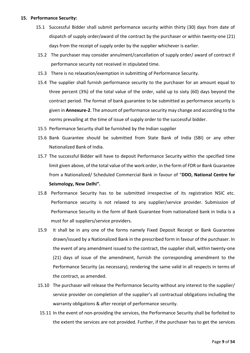#### **15. Performance Security:**

- 15.1 Successful Bidder shall submit performance security within thirty (30) days from date of dispatch of supply order/award of the contract by the purchaser or within twenty-one (21) days from the receipt of supply order by the supplier whichever is earlier.
- 15.2 The purchaser may consider annulment/cancellation of supply order/ award of contract if performance security not received in stipulated time.
- 15.3 There is no relaxation/exemption in submitting of Performance Security.
- 15.4 The supplier shall furnish performance security to the purchaser for an amount equal to three percent (3%) of the total value of the order, valid up to sixty (60) days beyond the contract period. The format of bank guarantee to be submitted as performance security is given in **Annexure-2**. The amount of performance security may change and according to the norms prevailing at the time of issue of supply order to the successful bidder.
- 15.5 Performance Security shall be furnished by the Indian supplier
- 15.6 Bank Guarantee should be submitted from State Bank of India (SBI) or any other Nationalized Bank of India.
- 15.7 The successful Bidder will have to deposit Performance Security within the specified time limit given above, of the total value of the work order, in the form of FDR or Bank Guarantee from a Nationalized/ Scheduled Commercial Bank in favour of "**DDO, National Centre for Seismology, New Delhi".**
- 15.8 Performance Security has to be submitted irrespective of its registration NSIC etc. Performance security is not relaxed to any supplier/service provider. Submission of Performance Security in the form of Bank Guarantee from nationalized bank in India is a must for all suppliers/service providers.
- 15.9 It shall be in any one of the forms namely Fixed Deposit Receipt or Bank Guarantee drawn/issued by a Nationalized Bank in the prescribed form in favour of the purchaser. In the event of any amendment issued to the contract, the supplier shall, within twenty-one (21) days of issue of the amendment, furnish the corresponding amendment to the Performance Security (as necessary), rendering the same valid in all respects in terms of the contract, as amended.
- 15.10 The purchaser will release the Performance Security without any interest to the supplier/ service provider on completion of the supplier's all contractual obligations including the warranty obligations & after receipt of performance security.
- 15.11 In the event of non-providing the services, the Performance Security shall be forfeited to the extent the services are not provided. Further, if the purchaser has to get the services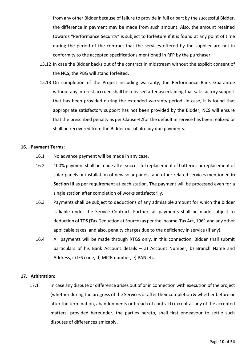from any other Bidder because of failure to provide in full or part by the successful Bidder, the difference in payment may be made from such amount. Also, the amount retained towards "Performance Security" is subject to forfeiture if it is found at any point of time during the period of the contract that the services offered by the supplier are not in conformity to the accepted specifications mentioned in RFP by the purchaser.

- 15.12 In case the Bidder backs out of the contract in midstream without the explicit consent of the NCS, the PBG will stand forfeited.
- 15.13 On completion of the Project including warranty, the Performance Bank Guarantee without any interest accrued shall be released after ascertaining that satisfactory support that has been provided during the extended warranty period. In case, it is found that appropriate satisfactory support has not been provided by the Bidder, NCS will ensure that the prescribed penalty as per Clause-42for the default in service has been realized or shall be recovered from the Bidder out of already due payments.

#### **16. Payment Terms:**

- 16.1 No advance payment will be made in any case.
- 16.2 100% payment shall be made after successful replacement of batteries or replacement of solar panels or installation of new solar panels, and other related services mentioned **in Section III** as per requirement at each station. The payment will be processed even for a single station after completion of works satisfactorily.
- 16.3 Payments shall be subject to deductions of any admissible amount for which th**e** bidder is liable under the Service Contract. Further, all payments shall be made subject to deduction of TDS (Tax Deduction at Source) as per the Income-Tax Act, 1961 and any other applicable taxes; and also, penalty charges due to the deficiency in service (if any).
- 16.4 All payments will be made through RTGS only. In this connection, Bidder shall submit particulars of his Bank Account details – a) Account Number, b) Branch Name and Address, c) IFS code, d) MICR number, e) PAN etc.

#### **17. Arbitration:**

17.1 In case any dispute or difference arises out of or in connection with execution of the project (whether during the progress of the Services or after their completion & whether before or after the termination, abandonments or breach of contract) except as any of the accepted matters, provided hereunder, the parties hereto, shall first endeavour to settle such disputes of differences amicably**.**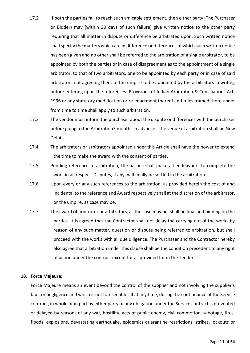- 17.2 If both the parties fail to reach such amicable settlement, then either party (The Purchaser or Bidder) may (within 30 days of such failure) give written notice to the other party requiring that all matter in dispute or difference be arbitrated upon. Such written notice shall specify the matters which are in difference or differences of which such written notice has been given and no other shall be referred to the arbitration of a single arbitrator, to be appointed by both the parties or in case of disagreement as to the appointment of a single arbitrator, to that of two arbitrators, one to be appointed by each party or in case of said arbitrators not agreeing then, to the umpire to be appointed by the arbitrators in writing before entering upon the references. Provisions of Indian Arbitration & Conciliations Act, 1996 or any statutory modification or re-enactment thereof and rules framed there under from time to time shall apply to such arbitration.
- 17.3 The vendor must inform the purchaser about the dispute or differences with the purchaser before going to the Arbitration3 months in advance. The venue of arbitration shall be New Delhi.
- 17.4 The arbitrators or arbitrators appointed under this Article shall have the power to extend the time to make the award with the consent of parties.
- 17.5 Pending reference to arbitration, the parties shall make all endeavours to complete the work in all respect. Disputes, if any, will finally be settled in the arbitration.
- 17.6 Upon every or any such references to the arbitration, as provided herein the cost of and incidental to the reference and Award respectively shall at the discretion of the arbitrator, or the umpire, as case may be.
- 17.7 The award of arbitrator or arbitrators, as the case may be, shall be final and binding on the parties. It is agreed that the Contractor shall not delay the carrying out of the works by reason of any such matter, question or dispute being referred to arbitration, but shall proceed with the works with all due diligence. The Purchaser and the Contractor hereby also agree that arbitration under this clause shall be the condition precedent to any right of action under the contract except for as provided for in the Tender.

#### **18. Force Majeure:**

Force Majeure means an event beyond the control of the supplier and not involving the supplier's fault or negligence and which is not foreseeable. If at any time, during the continuance of the Service contract, in whole or in part by either party of any obligation under the Service contract is prevented or delayed by reasons of any war, hostility, acts of public enemy, civil commotion, sabotage, fires, floods, explosions, devastating earthquake, epidemics quarantine restrictions, strikes, lockouts or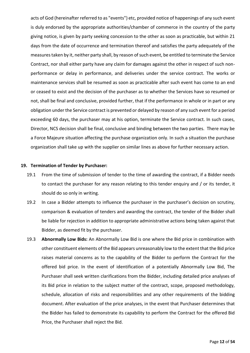acts of God (hereinafter referred to as "events") etc, provided notice of happenings of any such event is duly endorsed by the appropriate authorities/chamber of commerce in the country of the party giving notice, is given by party seeking concession to the other as soon as practicable, but within 21 days from the date of occurrence and termination thereof and satisfies the party adequately of the measures taken by it, neither party shall, by reason of such event, be entitled to terminate the Service Contract, nor shall either party have any claim for damages against the other in respect of such nonperformance or delay in performance, and deliveries under the service contract. The works or maintenance services shall be resumed as soon as practicable after such event has come to an end or ceased to exist and the decision of the purchaser as to whether the Services have so resumed or not, shall be final and conclusive, provided further, that if the performance in whole or in part or any obligation under the Service contract is prevented or delayed by reason of any such event for a period exceeding 60 days, the purchaser may at his option, terminate the Service contract. In such cases, Director, NCS decision shall be final, conclusive and binding between the two parties. There may be a Force Majeure situation affecting the purchase organization only. In such a situation the purchase organization shall take up with the supplier on similar lines as above for further necessary action.

#### **19. Termination of Tender by Purchaser:**

- 19.1 From the time of submission of tender to the time of awarding the contract, if a Bidder needs to contact the purchaser for any reason relating to this tender enquiry and / or its tender, it should do so only in writing.
- 19.2 In case a Bidder attempts to influence the purchaser in the purchaser's decision on scrutiny, comparison & evaluation of tenders and awarding the contract, the tender of the Bidder shall be liable for rejection in addition to appropriate administrative actions being taken against that Bidder, as deemed fit by the purchaser.
- 19.3 **Abnormally Low Bids:** An Abnormally Low Bid is one where the Bid price in combination with other constituent elements of the Bid appears unreasonably low to the extent that the Bid price raises material concerns as to the capability of the Bidder to perform the Contract for the offered bid price. In the event of identification of a potentially Abnormally Low Bid, The Purchaser shall seek written clarifications from the Bidder, including detailed price analyses of its Bid price in relation to the subject matter of the contract, scope, proposed methodology, schedule, allocation of risks and responsibilities and any other requirements of the bidding document. After evaluation of the price analyses, in the event that Purchaser determines that the Bidder has failed to demonstrate its capability to perform the Contract for the offered Bid Price, the Purchaser shall reject the Bid.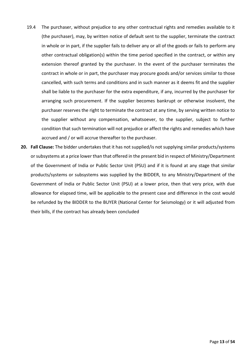- 19.4 The purchaser, without prejudice to any other contractual rights and remedies available to it (the purchaser), may, by written notice of default sent to the supplier, terminate the contract in whole or in part, if the supplier fails to deliver any or all of the goods or fails to perform any other contractual obligation(s) within the time period specified in the contract, or within any extension thereof granted by the purchaser. In the event of the purchaser terminates the contract in whole or in part, the purchaser may procure goods and/or services similar to those cancelled, with such terms and conditions and in such manner as it deems fit and the supplier shall be liable to the purchaser for the extra expenditure, if any, incurred by the purchaser for arranging such procurement. If the supplier becomes bankrupt or otherwise insolvent, the purchaser reserves the right to terminate the contract at any time, by serving written notice to the supplier without any compensation, whatsoever, to the supplier, subject to further condition that such termination will not prejudice or affect the rights and remedies which have accrued and / or will accrue thereafter to the purchaser.
- **20. Fall Clause:** The bidder undertakes that it has not supplied/is not supplying similar products/systems or subsystems at a price lower than that offered in the present bid in respect of Ministry/Department of the Government of India or Public Sector Unit (PSU) and if it is found at any stage that similar products/systems or subsystems was supplied by the BIDDER, to any Ministry/Department of the Government of India or Public Sector Unit (PSU) at a lower price, then that very price, with due allowance for elapsed time, will be applicable to the present case and difference in the cost would be refunded by the BIDDER to the BUYER (National Center for Seismology) or it will adjusted from their bills, if the contract has already been concluded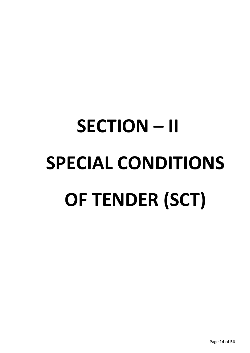# **SECTION – II SPECIAL CONDITIONS OF TENDER (SCT)**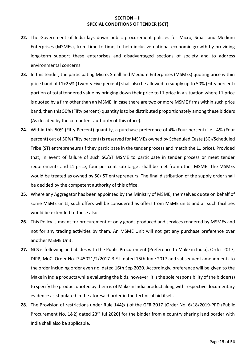#### **SECTION – II SPECIAL CONDITIONS OF TENDER (SCT)**

- **22.** The Government of India lays down public procurement policies for Micro, Small and Medium Enterprises (MSMEs), from time to time, to help inclusive national economic growth by providing long-term support these enterprises and disadvantaged sections of society and to address environmental concerns.
- **23.** In this tender, the participating Micro, Small and Medium Enterprises (MSMEs) quoting price within price band of L1+25% (Twenty Five percent) shall also be allowed to supply up to 50% (Fifty percent) portion of total tendered value by bringing down their price to L1 price in a situation where L1 price is quoted by a firm other than an MSME. In case there are two or more MSME firms within such price band, then this 50% (Fifty percent) quantity is to be distributed proportionately among these bidders (As decided by the competent authority of this office).
- **24.** Within this 50% (Fifty Percent) quantity, a purchase preference of 4% (Four percent) i.e. 4% (Four percent) out of 50% (Fifty percent) is reserved for MSMEs owned by Scheduled Caste (SC)/Scheduled Tribe (ST) entrepreneurs (if they participate in the tender process and match the L1 price). Provided that, in event of failure of such SC/ST MSME to participate in tender process or meet tender requirements and L1 price, four per cent sub-target shall be met from other MSME. The MSMEs would be treated as owned by SC/ ST entrepreneurs. The final distribution of the supply order shall be decided by the competent authority of this office.
- **25.** Where any Aggregator has been appointed by the Ministry of MSME, themselves quote on behalf of some MSME units, such offers will be considered as offers from MSME units and all such facilities would be extended to these also.
- **26.** This Policy is meant for procurement of only goods produced and services rendered by MSMEs and not for any trading activities by them. An MSME Unit will not get any purchase preference over another MSME Unit.
- **27.** NCS is following and abides with the Public Procurement (Preference to Make in India), Order 2017, DIPP, MoCI Order No. P-45021/2/2017-B.E.II dated 15th June 2017 and subsequent amendments to the order including order even no. dated 16th Sep 2020. Accordingly, preference will be given to the Make in India products while evaluating the bids, however, it is the sole responsibility of the bidder(s) to specify the product quoted by them is of Make in India product along with respective documentary evidence as stipulated in the aforesaid order in the technical bid itself.
- **28.** The Provision of restrictions under Rule 144(xi) of the GFR 2017 [Order No. 6/18/2019-PPD (Public Procurement No. 1&2) dated 23<sup>rd</sup> Jul 2020] for the bidder from a country sharing land border with India shall also be applicable.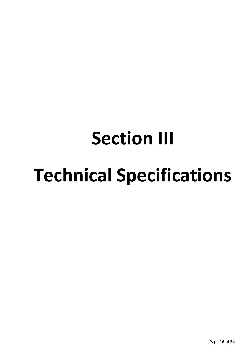## **Section III Technical Specifications**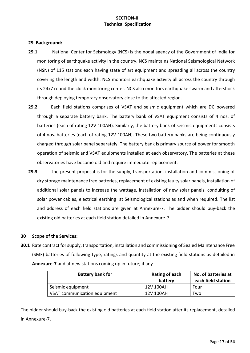#### **SECTION-III Technical Specification**

#### **29 Background:**

- **29.1** National Center for Seismology (NCS) is the nodal agency of the Government of India for monitoring of earthquake activity in the country. NCS maintains National Seismological Network (NSN) of 115 stations each having state of art equipment and spreading all across the country covering the length and width. NCS monitors earthquake activity all across the country through its 24x7 round the clock monitoring center. NCS also monitors earthquake swarm and aftershock through deploying temporary observatory close to the affected region.
- **29.2** Each field stations comprises of VSAT and seismic equipment which are DC powered through a separate battery bank. The battery bank of VSAT equipment consists of 4 nos. of batteries (each of rating 12V 100AH). Similarly, the battery bank of seismic equipments consists of 4 nos. batteries (each of rating 12V 100AH). These two battery banks are being continuously charged through solar panel separately. The battery bank is primary source of power for smooth operation of seismic and VSAT equipments installed at each observatory. The batteries at these observatories have become old and require immediate replacement.
- **29.3** The present proposal is for the supply, transportation, installation and commissioning of dry storage maintenance free batteries, replacement of existing faulty solar panels, installation of additional solar panels to increase the wattage, installation of new solar panels, conduiting of solar power cables, electrical earthing at Seismological stations as and when required. The list and address of each field stations are given at Annexure-7. The bidder should buy-back the existing old batteries at each field station detailed in Annexure-7

#### **30 Scope of the Services:**

**30.1** Rate contract for supply, transportation, installation and commissioning of Sealed Maintenance Free (SMF) batteries of following type, ratings and quantity at the existing field stations as detailed in **Annexure-7** and at new stations coming up in future; if any

| <b>Battery bank for</b>      | Rating of each<br>battery | No. of batteries at<br>each field station |
|------------------------------|---------------------------|-------------------------------------------|
| Seismic equipment            | 12V 100AH                 | Four                                      |
| VSAT communication equipment | 12V 100AH                 | Two                                       |

The bidder should buy-back the existing old batteries at each field station after its replacement, detailed in Annexure-7.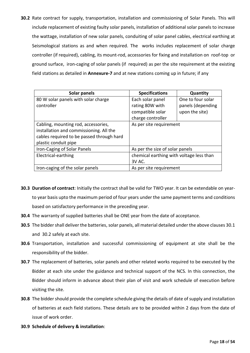**30.2** Rate contract for supply, transportation, installation and commissioning of Solar Panels. This will include replacement of existing faulty solar panels, installation of additional solar panels to increase the wattage, installation of new solar panels, conduiting of solar panel cables, electrical earthing at Seismological stations as and when required. The works includes replacement of solar charge controller (if required), cabling, its mount-rod, accessories for fixing and installation on roof-top or ground surface, iron-caging of solar panels (if required) as per the site requirement at the existing field stations as detailed in **Annexure-7** and at new stations coming up in future; if any

| Solar panels                              | <b>Specifications</b>                    | Quantity          |
|-------------------------------------------|------------------------------------------|-------------------|
| 80 W solar panels with solar charge       | Each solar panel                         | One to four solar |
| controller                                | rating 80W with                          | panels (depending |
|                                           | compatible solar                         | upon the site)    |
|                                           | charge controller                        |                   |
| Cabling, mounting rod, accessories,       | As per site requirement                  |                   |
| installation and commissioning. All the   |                                          |                   |
| cables required to be passed through hard |                                          |                   |
| plastic conduit pipe                      |                                          |                   |
| Iron-Caging of Solar Panels               | As per the size of solar panels          |                   |
| Electrical-earthing                       | chemical earthing with voltage less than |                   |
|                                           | 3V AC.                                   |                   |
| Iron-caging of the solar panels           | As per site requirement                  |                   |

- **30.3 Duration of contract**: Initially the contract shall be valid for TWO year. It can be extendable on yearto year basis upto the maximum period of four years under the same payment terms and conditions based on satisfactory performance in the preceding year.
- **30.4** The warranty of supplied batteries shall be ONE year from the date of acceptance.
- **30.5** The bidder shall deliver the batteries, solar panels, all material detailed under the above clauses 30.1 and 30.2 safely at each site.
- **30.6** Transportation, installation and successful commissioning of equipment at site shall be the responsibility of the bidder.
- **30.7** The replacement of batteries, solar panels and other related works required to be executed by the Bidder at each site under the guidance and technical support of the NCS. In this connection, the Bidder should inform in advance about their plan of visit and work schedule of execution before visiting the site.
- **30.8** The bidder should provide the complete schedule giving the details of date of supply and installation of batteries at each field stations. These details are to be provided within 2 days from the date of issue of work order.
- **30.9 Schedule of delivery & installation**: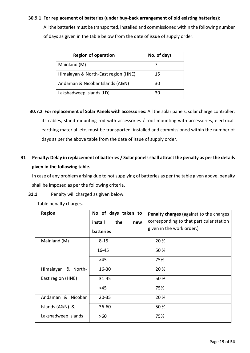#### **30.9.1 For replacement of batteries (under buy-back arrangement of old existing batteries):**

All the batteries must be transported, installed and commissioned within the following number of days as given in the table below from the date of issue of supply order.

| <b>Region of operation</b>          | No. of days |
|-------------------------------------|-------------|
| Mainland (M)                        |             |
| Himalayan & North-East region (HNE) | 15          |
| Andaman & Nicobar Islands (A&N)     | 30          |
| Lakshadweep Islands (LD)            | 30          |

**30.7.2 For replacement of Solar Panels with accessories:** All the solar panels, solar charge controller, its cables, stand mounting rod with accessories / roof-mounting with accessories, electricalearthing material etc. must be transported, installed and commissioned within the number of days as per the above table from the date of issue of supply order.

#### **31 Penalty: Delay in replacement of batteries / Solar panelsshall attract the penalty as per the details given in the following table.**

In case of any problem arising due to not supplying of batteries as per the table given above, penalty shall be imposed as per the following criteria.

**31.1** Penalty will charged as given below:

|  |  | Table penalty charges. |
|--|--|------------------------|
|--|--|------------------------|

| <b>Region</b>       | No of days taken to<br>install<br>the<br>new | Penalty charges (against to the charges<br>corresponding to that particular station |
|---------------------|----------------------------------------------|-------------------------------------------------------------------------------------|
|                     | batteries                                    | given in the work order.)                                                           |
| Mainland (M)        | $8 - 15$                                     | 20 %                                                                                |
|                     | 16-45                                        | 50 %                                                                                |
|                     | >45                                          | 75%                                                                                 |
| Himalayan & North-  | $16 - 30$                                    | 20 %                                                                                |
| East region (HNE)   | 31-45                                        | 50 %                                                                                |
|                     | $>45$                                        | 75%                                                                                 |
| Andaman & Nicobar   | $20 - 35$                                    | 20 %                                                                                |
| Islands (A&N) &     | $36 - 60$                                    | 50 %                                                                                |
| Lakshadweep Islands | >60                                          | 75%                                                                                 |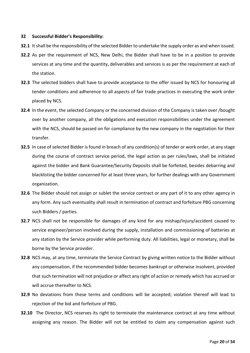#### **32 Successful Bidder's Responsibility:**

- **32.1** It shall be the responsibility of the selected Bidder to undertake the supply order as and when issued.
- **32.2** As per the requirement of NCS, New Delhi, the Bidder shall have to be in a position to provide services at any time and the quantity, deliverables and services is as per the requirement at each of the station.
- **32.3** The selected bidders shall have to provide acceptance to the offer issued by NCS for honouring all tender conditions and adherence to all aspects of fair trade practices in executing the work order placed by NCS.
- **32.4** In the event, the selected Company or the concerned division of the Company is taken over /bought over by another company, all the obligations and execution responsibilities under the agreement with the NCS, should be passed on for compliance by the new company in the negotiation for their transfer.
- **32.5** In case of selected Bidder is found in breach of any condition(s) of tender or work order, at any stage during the course of contract service period, the legal action as per rules/laws, shall be initiated against the bidder and Bank Guarantee/Security Deposits shall be forfeited, besides debarring and blacklisting the bidder concerned for at least three years, for further dealings with any Government organization.
- **32.6** The Bidder should not assign or sublet the service contract or any part of it to any other agency in any form. Any such eventuality shall result in termination of contract and forfeiture PBG concerning such Bidders / parties.
- **32.7** NCS shall not be responsible for damages of any kind for any mishap/injury/accident caused to service engineer/person involved during the supply, installation and commissioning of batteries at any station by the Service provider while performing duty. All liabilities, legal or monetary, shall be borne by the Service provider.
- **32.8** NCS may, at any time, terminate the Service Contract by giving written notice to the Bidder without any compensation, if the recommended bidder becomes bankrupt or otherwise insolvent, provided that such termination will not prejudice or affect any right of action or remedy which has accrued or will accrue thereafter to NCS.
- **32.9** No deviations from these terms and conditions will be accepted; violation thereof will lead to rejection of the bid and forfeiture of PBG.
- **32.10** The Director, NCS reserves its right to terminate the maintenance contract at any time without assigning any reason. The Bidder will not be entitled to claim any compensation against such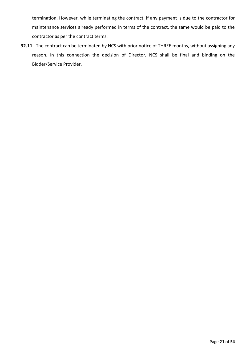termination. However, while terminating the contract, if any payment is due to the contractor for maintenance services already performed in terms of the contract, the same would be paid to the contractor as per the contract terms.

**32.11** The contract can be terminated by NCS with prior notice of THREE months, without assigning any reason. In this connection the decision of Director, NCS shall be final and binding on the Bidder/Service Provider.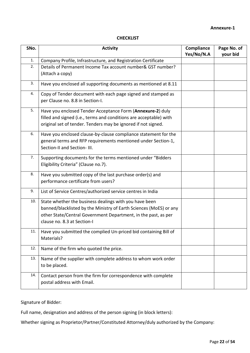#### **CHECKLIST**

| SNo. | <b>Activity</b>                                                                                                                                                                                                               | Compliance<br>Yes/No/N.A | Page No. of<br>your bid |
|------|-------------------------------------------------------------------------------------------------------------------------------------------------------------------------------------------------------------------------------|--------------------------|-------------------------|
| 1.   | Company Profile, Infrastructure, and Registration Certificate                                                                                                                                                                 |                          |                         |
| 2.   | Details of Permanent Income Tax account number& GST number?<br>(Attach a copy)                                                                                                                                                |                          |                         |
| 3.   | Have you enclosed all supporting documents as mentioned at 8.11                                                                                                                                                               |                          |                         |
| 4.   | Copy of Tender document with each page signed and stamped as<br>per Clause no. 8.8 in Section-I.                                                                                                                              |                          |                         |
| 5.   | Have you enclosed Tender Acceptance Form (Annexure-2) duly<br>filled and signed (i.e., terms and conditions are acceptable) with<br>original set of tender. Tenders may be ignored if not signed.                             |                          |                         |
| 6.   | Have you enclosed clause-by-clause compliance statement for the<br>general terms and RFP requirements mentioned under Section-1,<br>Section-II and Section- III.                                                              |                          |                         |
| 7.   | Supporting documents for the terms mentioned under "Bidders<br>Eligibility Criteria" (Clause no.7).                                                                                                                           |                          |                         |
| 8.   | Have you submitted copy of the last purchase order(s) and<br>performance certificate from users?                                                                                                                              |                          |                         |
| 9.   | List of Service Centres/authorized service centres in India                                                                                                                                                                   |                          |                         |
| 10.  | State whether the business dealings with you have been<br>banned/blacklisted by the Ministry of Earth Sciences (MoES) or any<br>other State/Central Government Department, in the past, as per<br>clause no. 8.3 at Section-I |                          |                         |
| 11.  | Have you submitted the complied Un-priced bid containing Bill of<br>Materials?                                                                                                                                                |                          |                         |
| 12.  | Name of the firm who quoted the price.                                                                                                                                                                                        |                          |                         |
| 13.  | Name of the supplier with complete address to whom work order<br>to be placed.                                                                                                                                                |                          |                         |
| 14.  | Contact person from the firm for correspondence with complete<br>postal address with Email.                                                                                                                                   |                          |                         |

Signature of Bidder:

Full name, designation and address of the person signing (in block letters):

Whether signing as Proprietor/Partner/Constituted Attorney/duly authorized by the Company: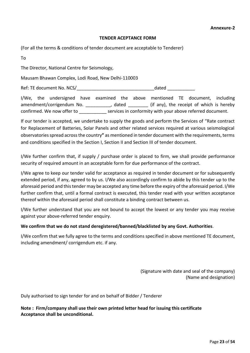#### **TENDER ACEPTANCE FORM**

(For all the terms & conditions of tender document are acceptable to Tenderer)

To

The Director, National Centre for Seismology,

Mausam Bhawan Complex, Lodi Road, New Delhi-110003

Ref: TE document No. NCS/\_\_\_\_\_\_\_\_\_\_\_\_\_\_\_\_\_\_\_\_\_\_\_\_\_\_\_\_\_\_\_dated \_\_\_\_\_\_\_\_\_\_\_

I/We, the undersigned have examined the above mentioned TE document, including amendment/corrigendum No. \_\_\_\_\_\_\_\_\_, dated \_\_\_\_\_\_\_\_ (if any), the receipt of which is hereby confirmed. We now offer to services in conformity with your above referred document.

If our tender is accepted, we undertake to supply the goods and perform the Services of "Rate contract for Replacement of Batteries, Solar Panels and other related services required at various seismological observatories spread across the country**"** as mentioned in tender document with the requirements, terms and conditions specified in the Section I, Section II and Section III of tender document.

I/We further confirm that, if supply / purchase order is placed to firm, we shall provide performance security of required amount in an acceptable form for due performance of the contract.

I/We agree to keep our tender valid for acceptance as required in tender document or for subsequently extended period, if any, agreed to by us. I/We also accordingly confirm to abide by this tender up to the aforesaid period and this tender may be accepted any time before the expiry of the aforesaid period. I/We further confirm that, until a formal contract is executed, this tender read with your written acceptance thereof within the aforesaid period shall constitute a binding contract between us.

I/We further understand that you are not bound to accept the lowest or any tender you may receive against your above-referred tender enquiry.

#### **We confirm that we do not stand deregistered/banned/blacklisted by any Govt. Authorities**.

I/We confirm that we fully agree to the terms and conditions specified in above mentioned TE document, including amendment/ corrigendum etc. if any.

> (Signature with date and seal of the company) (Name and designation)

Duly authorised to sign tender for and on behalf of Bidder / Tenderer

**Note : Firm/company shall use their own printed letter head for issuing this certificate Acceptance shall be unconditional.**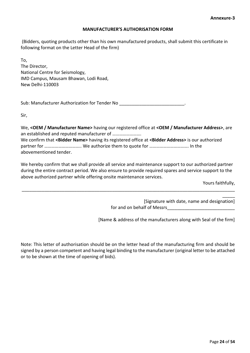#### **MANUFACTURER'S AUTHORISATION FORM**

(Bidders, quoting products other than his own manufactured products, shall submit this certificate in following format on the Letter Head of the firm)

To, The Director, National Centre for Seismology, IMD Campus, Mausam Bhawan, Lodi Road, New Delhi-110003

Sub: Manufacturer Authorization for Tender No \_\_\_\_\_\_\_\_\_\_\_\_\_\_\_\_\_\_\_\_\_\_\_\_\_\_\_\_\_\_\_\_\_\_

Sir,

We, **<OEM / Manufacturer Name>** having our registered office at **<OEM / Manufacturer Address>**, are an established and reputed manufacturer of ……………………. We confirm that **<Bidder Name>** having its registered office at **<Bidder Address>** is our authorized partner for ………………………….. We authorize them to quote for ……………………………. In the abovementioned tender.

We hereby confirm that we shall provide all service and maintenance support to our authorized partner during the entire contract period. We also ensure to provide required spares and service support to the above authorized partner while offering onsite maintenance services.

\_\_\_\_\_\_\_\_\_\_\_\_\_\_\_\_\_\_\_\_\_\_\_\_\_\_\_\_\_\_\_\_\_\_\_\_\_\_\_\_\_\_\_\_\_\_\_\_\_\_\_\_\_\_\_\_\_\_\_\_\_\_\_\_\_\_\_\_\_\_\_\_\_\_\_\_\_\_\_\_\_\_\_\_\_

Yours faithfully,

 $\overline{\phantom{a}}$ 

[Signature with date, name and designation] for and on behalf of Messrs

[Name & address of the manufacturers along with Seal of the firm]

Note: This letter of authorisation should be on the letter head of the manufacturing firm and should be signed by a person competent and having legal binding to the manufacturer (original letter to be attached or to be shown at the time of opening of bids).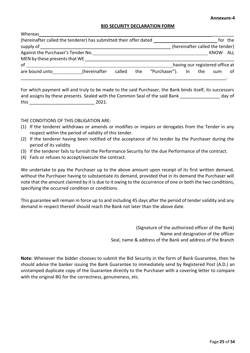#### **BID SECURITY DECLARATION FORM**

| Whereas                                                           |              |        |                                 |                  |     |                                 |         |
|-------------------------------------------------------------------|--------------|--------|---------------------------------|------------------|-----|---------------------------------|---------|
| (hereinafter called the tenderer) has submitted their offer dated |              |        |                                 |                  |     |                                 | for the |
| supply of                                                         |              |        | (hereinafter called the tender) |                  |     |                                 |         |
| Against the Purchaser's Tender No.                                |              |        |                                 |                  |     | <b>KNOW</b>                     | ALL     |
| MEN by these presents that WE                                     |              |        |                                 |                  |     |                                 |         |
| οf                                                                |              |        |                                 |                  |     | having our registered office at |         |
| are bound unto                                                    | (hereinafter | called | the                             | "Purchaser"). In | the | sum                             | οf      |
|                                                                   |              |        |                                 |                  |     |                                 |         |

For which payment will and truly to be made to the said Purchaser, the Bank binds itself, its successors and assigns by these presents. Sealed with the Common Seal of the said Bank day of this \_\_\_\_\_\_\_\_\_\_\_\_\_\_\_\_\_\_\_\_\_\_\_\_\_\_ 2021.

THE CONDITIONS OF THIS OBLIGATION ARE:

- (1) If the tenderer withdraws or amends or modifies or impairs or derogates from the Tender in any respect within the period of validity of this tender.
- (2) If the tenderer having been notified of the acceptance of his tender by the Purchaser during the period of its validity
- (3) If the tenderer fails to furnish the Performance Security for the due Performance of the contract.
- (4) Fails or refuses to accept/execute the contract.

We undertake to pay the Purchaser up to the above amount upon receipt of its first written demand, without the Purchaser having to substantiate its demand, provided that in its demand the Purchaser will note that the amount claimed by it is due to it owing to the occurrence of one or both the two conditions, specifying the occurred condition or conditions.

This guarantee will remain in force up to and including 45 days after the period of tender validity and any demand in respect thereof should reach the Bank not later than the above date.

> (Signature of the authorized officer of the Bank) Name and designation of the officer Seal, name & address of the Bank and address of the Branch

**Note:** Whenever the bidder chooses to submit the Bid Security in the form of Bank Guarantee, then he should advise the banker issuing the Bank Guarantee to immediately send by Registered Post (A.D.) an unstamped duplicate copy of the Guarantee directly to the Purchaser with a covering letter to compare with the original BG for the correctness, genuineness, etc.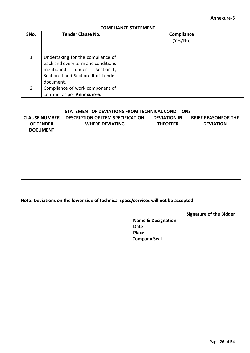#### **COMPLIANCE STATEMENT**

| SNo.          | <b>Tender Clause No.</b>                                                                                                                                      | Compliance<br>(Yes/No) |
|---------------|---------------------------------------------------------------------------------------------------------------------------------------------------------------|------------------------|
| $\mathbf{1}$  | Undertaking for the compliance of<br>each and every term and conditions<br>mentioned under<br>Section-1,<br>Section-II and Section-III of Tender<br>document. |                        |
| $\mathcal{P}$ | Compliance of work component of<br>contract as per Annexure-6.                                                                                                |                        |

#### **STATEMENT OF DEVIATIONS FROM TECHNICAL CONDITIONS**

| <b>CLAUSE NUMBER</b> | <b>DESCRIPTION OF ITEM SPECIFICATION</b> | <b>DEVIATION IN</b> | <b>BRIEF REASONFOR THE</b> |
|----------------------|------------------------------------------|---------------------|----------------------------|
| <b>OF TENDER</b>     | <b>WHERE DEVIATING</b>                   | <b>THEOFFER</b>     | <b>DEVIATION</b>           |
| <b>DOCUMENT</b>      |                                          |                     |                            |
|                      |                                          |                     |                            |
|                      |                                          |                     |                            |
|                      |                                          |                     |                            |
|                      |                                          |                     |                            |
|                      |                                          |                     |                            |
|                      |                                          |                     |                            |
|                      |                                          |                     |                            |
|                      |                                          |                     |                            |
|                      |                                          |                     |                            |

**Note: Deviations on the lower side of technical specs/services will not be accepted**

#### **Signature of the Bidder**

**Name & Designation: Date Place Company Seal**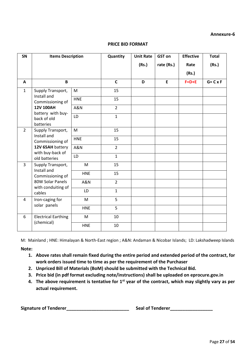| SN                            | <b>Items Description</b><br>B          |            | Quantity       | <b>Unit Rate</b><br>(Rs.) | <b>GST on</b><br>rate (Rs.) | <b>Effective</b><br>Rate<br>(Rs.)<br>$F=D+E$ | <b>Total</b><br>(Rs.)<br>$G = C \times F$ |
|-------------------------------|----------------------------------------|------------|----------------|---------------------------|-----------------------------|----------------------------------------------|-------------------------------------------|
| A                             |                                        |            | $\mathsf{C}$   | D                         | E                           |                                              |                                           |
| $\mathbf{1}$                  | Supply Transport,                      | M          | 15             |                           |                             |                                              |                                           |
|                               | Install and<br>Commissioning of        | <b>HNE</b> | 15             |                           |                             |                                              |                                           |
|                               | <b>12V 100AH</b><br>battery with buy-  | A&N        | $\overline{2}$ |                           |                             |                                              |                                           |
| back of old                   | batteries                              | LD         | $\mathbf{1}$   |                           |                             |                                              |                                           |
| $\overline{2}$<br>Install and | Supply Transport,                      | M          | 15             |                           |                             |                                              |                                           |
|                               | Commissioning of                       | <b>HNE</b> | 15             |                           |                             |                                              |                                           |
|                               | 12V 65AH battery<br>with buy-back of   | A&N        | $\overline{2}$ |                           |                             |                                              |                                           |
|                               | old batteries                          | LD         | $\mathbf{1}$   |                           |                             |                                              |                                           |
| $\mathbf{3}$                  | Supply Transport,<br>Install and       | M          | 15             |                           |                             |                                              |                                           |
|                               | Commissioning of                       | <b>HNE</b> | 15             |                           |                             |                                              |                                           |
|                               | 80W Solar Panels<br>with conduiting of | A&N        | $\overline{2}$ |                           |                             |                                              |                                           |
|                               | cables                                 | LD         | $\mathbf{1}$   |                           |                             |                                              |                                           |
| 4                             | Iron-caging for                        | M          | 5              |                           |                             |                                              |                                           |
|                               | solar panels                           | <b>HNE</b> | 5              |                           |                             |                                              |                                           |
| 6                             | <b>Electrical Earthing</b>             | M          | 10             |                           |                             |                                              |                                           |
|                               | (chemical)                             | <b>HNE</b> | 10             |                           |                             |                                              |                                           |

#### **PRICE BID FORMAT**

M: Mainland ; HNE: Himalayan & North-East region ; A&N: Andaman & Nicobar Islands; LD: Lakshadweep Islands

#### **Note:**

- **1. Above rates shall remain fixed during the entire period and extended period of the contract, for work orders issued time to time as per the requirement of the Purchaser**
- **2. Unpriced Bill of Materials (BoM) should be submitted with the Technical Bid.**
- **3. Price bid (in pdf format excluding note/instructions) shall be uploaded on eprocure.gov.in**
- **4. The above requirement is tentative for 1st year of the contract, which may slightly vary as per actual requirement.**

**Signature of Tenderer\_\_\_\_\_\_\_\_\_\_\_\_\_\_\_\_\_\_\_\_\_\_\_\_\_ Seal of Tenderer\_\_\_\_\_\_\_\_\_\_\_\_\_\_\_\_\_**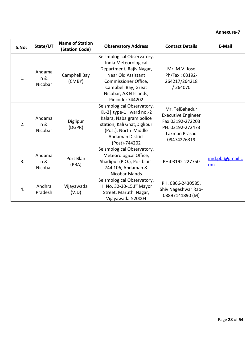| S.No: | State/UT                 | <b>Name of Station</b><br>(Station Code) | <b>Observatory Address</b>                                                                                                                                                                      | <b>Contact Details</b>                                                                                              | E-Mail                |
|-------|--------------------------|------------------------------------------|-------------------------------------------------------------------------------------------------------------------------------------------------------------------------------------------------|---------------------------------------------------------------------------------------------------------------------|-----------------------|
| 1.    | Andama<br>n &<br>Nicobar | Camphell Bay<br>(CMBY)                   | Seismological Observatory,<br>India Meteorological<br>Department, Rajiv Nagar,<br>Near Old Assistant<br>Commissioner Office,<br>Campbell Bay, Great<br>Nicobar, A&N Islands,<br>Pincode: 744202 | Mr. M.V. Jose<br>Ph/Fax: 03192-<br>264217/264218<br>/ 264070                                                        |                       |
| 2.    | Andama<br>n &<br>Nicobar | Diglipur<br>(DGPR)                       | Seismological Observatory,<br>$KL-2$ type-1, ward no.-2<br>Kalara, Naba gram police<br>station, Kali Ghat, Diglipur<br>(Post), North Middle<br><b>Andaman District</b><br>(Post)-744202         | Mr. TejBahadur<br><b>Executive Engineer</b><br>Fax:03192-272203<br>PH: 03192-272473<br>Laxman Prasad<br>09474276319 |                       |
| 3.    | Andama<br>n &<br>Nicobar | Port Blair<br>(PBA)                      | Seismological Observatory,<br>Meteorological Office,<br>Shadipur (P.O.), Portblair-<br>744 106, Andaman &<br>Nicobar Islands                                                                    | PH:03192-227750                                                                                                     | imd.pbl@gmail.c<br>om |
| 4.    | Andhra<br>Pradesh        | Vijayawada<br>(VJD)                      | Seismological Observatory,<br>H. No. 32-30-15, Ist Mayor<br>Street, Maruthi Nagar,<br>Vijayawada-520004                                                                                         | PH. 0866-2430585,<br>Shiv Nageshwar Rao-<br>08897141890 (M)                                                         |                       |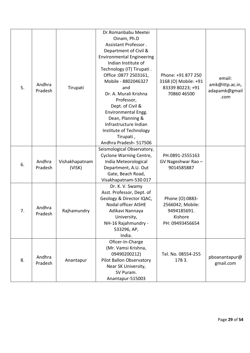|    |         |                | Dr.Romanbabu Meetei              |                      |                 |
|----|---------|----------------|----------------------------------|----------------------|-----------------|
|    |         |                | Oinam, Ph.D                      |                      |                 |
|    |         |                | Assistant Professor.             |                      |                 |
|    |         |                | Department of Civil &            |                      |                 |
|    |         |                | <b>Environmental Engineering</b> |                      |                 |
|    |         |                | Indian Institute of              |                      |                 |
|    |         |                | Technology (IT) Tirupati.        |                      |                 |
|    |         |                | Office : 0877 2503161,           | Phone: +91 877 250   | email:          |
|    | Andhra  |                | Mobile - 8802046327              | 3168 (O) Mobile: +91 |                 |
| 5. | Pradesh | Tirupati       | and                              | 83339 80223; +91     | amk@ittp.ac.in, |
|    |         |                | Dr. A. Murali Krishna            | 70860 46500          | adapamk@gmail   |
|    |         |                | Professor,                       |                      | .com            |
|    |         |                | Dept. of Civil &                 |                      |                 |
|    |         |                | Environmental Engg.              |                      |                 |
|    |         |                | Dean, Planning &                 |                      |                 |
|    |         |                | Infrastructure Indian            |                      |                 |
|    |         |                | Institute of Technology          |                      |                 |
|    |         |                | Tirupati,                        |                      |                 |
|    |         |                | Andhra Pradesh- 517506           |                      |                 |
|    |         |                | Seismological Observatory,       |                      |                 |
|    |         |                | Cyclone Warning Centre,          | PH.0891-2555163      |                 |
|    | Andhra  | Vishakhapatnam | India Meteorological             | GV Nageshwar Rao -   |                 |
| 6. | Pradesh | (VISK)         | Department, A.U. Out             | 9014585887           |                 |
|    |         |                | Gate, Beach Road,                |                      |                 |
|    |         |                | Visakhapatnam-530 017            |                      |                 |
|    |         |                | Dr. K. V. Swamy                  |                      |                 |
|    |         |                | Asst. Professor, Dept. of        |                      |                 |
|    |         |                | Geology & Director IQAC,         | Phone (O):0883-      |                 |
|    |         |                | <b>Nodal officer AISHE</b>       | 2566042; Mobile:     |                 |
| 7. | Andhra  | Rajhamundry    | Adikavi Nannaya                  | 9494185691.          |                 |
|    | Pradesh |                | University,                      | Kishore              |                 |
|    |         |                | NH-16 Rajahmundry -              | PH: 09493456654      |                 |
|    |         |                | 533296, AP,                      |                      |                 |
|    |         |                | India.                           |                      |                 |
|    |         |                | Oficer-In-Charge                 |                      |                 |
|    |         |                | (Mr. Vamsi Krishna,              |                      |                 |
|    |         |                | 09490200212)                     | Tel. No. 08554-255   |                 |
| 8. | Andhra  | Anantapur      | <b>Pilot Ballon Observatory</b>  | 1783.                | pboanantapur@   |
|    | Pradesh |                | Near SK University,              |                      | gmail.com       |
|    |         |                | SV Puram.                        |                      |                 |
|    |         |                | Anantapur-515003                 |                      |                 |
|    |         |                |                                  |                      |                 |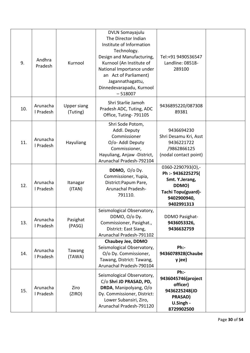| 9.  | Andhra<br>Pradesh     | Kurnool                        | <b>DVLN Somayajulu</b><br>The Director Indian<br>Institute of Information<br>Technology.<br>Design and Manufacturing,<br>Kurnool (An Institute of<br>National Importance under<br>an Act of Parliament)<br>Jagannathagattu,<br>Dinnedevarapadu, Kurnool<br>$-518007$ | Tel:+91 9490536547<br>Landline: 08518-<br>289100                                                                     |  |
|-----|-----------------------|--------------------------------|----------------------------------------------------------------------------------------------------------------------------------------------------------------------------------------------------------------------------------------------------------------------|----------------------------------------------------------------------------------------------------------------------|--|
| 10. | Arunacha<br>I Pradesh | <b>Upper siang</b><br>(Tuting) | Shri Starlie Jamoh<br>Pradesh ADC, Tuting, ADC<br>Office, Tuting-791105                                                                                                                                                                                              | 9436895220/087308<br>89381                                                                                           |  |
| 11. | Arunacha<br>I Pradesh | Hayuliang                      | Shri Sode Potom,<br>Addl. Deputy<br>Commissioner<br>O/o- Addl Deputy<br>Commissioner,<br>Hayuliang, Anjaw -District,<br>Arunachal Pradesh-792104                                                                                                                     | 9436694230<br>Shri Desamu Kri, Asst<br>9436221722<br>/9862866125<br>(nodal contact point)                            |  |
| 12. | Arunacha<br>I Pradesh | Itanagar<br>(ITAN)             | DDMO, $O/O$ Dy.<br>Commissioner, Yupia,<br>District: Papum Pare,<br><b>Arunachal Pradesh-</b><br>791110.                                                                                                                                                             | 0360-2290793(O),-<br>Ph :- 9436225275(<br>Smt. Y.Jerang,<br>DDMO)<br>Tachi Topu(guard)-<br>9402900940,<br>9402991313 |  |
| 13. | Arunacha<br>I Pradesh | Pasighat<br>(PASG)             | Seismological Observatory,<br>DDMO, O/o Dy.<br>Commissioner, Pasighat.,<br>District: East Siang,<br>Arunachal Pradesh-791102                                                                                                                                         | <b>DDMO Pasighat-</b><br>9436053326,<br>9436632759                                                                   |  |
| 14. | Arunacha<br>I Pradesh | Tawang<br>(TAWA)               | <b>Chaubey Jee, DDMO</b><br>Seismological Observatory,<br>O/o Dy. Commissioner,<br>Tawang, District: Tawang,<br>Arunachal Pradesh-790104                                                                                                                             | $Ph:$ -<br>9436078928(Chaube<br>y jee)                                                                               |  |
| 15. | Arunacha<br>I Pradesh | Ziro<br>(ZIRO)                 | Seismological Observatory,<br>C/o Shri JD PRASAD, PD,<br>DRDA, Manipolyang, O/o<br>Dy. Commissioner, District:<br>Lower Subansiri, Ziro,<br>Arunachal Pradesh-791120                                                                                                 | $Ph:$ -<br>9436045746(project<br>officer)<br>9436225248(JD<br><b>PRASAD)</b><br>U.Singh -<br>8729902500              |  |

Page **30** of **54**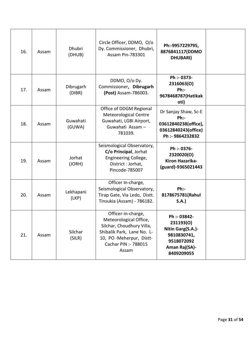| Ph:-9957229795,<br>8876841117(DDMO<br><b>DHUBARI</b> )                                                     | Circle Officer, DDMO, O/o<br>Dy. Commissioner, Dhubri,<br><b>Assam Pin-783301</b>                                                                                   | <b>Dhubri</b><br>(DHUB) | Assam | 16. |
|------------------------------------------------------------------------------------------------------------|---------------------------------------------------------------------------------------------------------------------------------------------------------------------|-------------------------|-------|-----|
| Ph :- 0373-<br>2316063(O)<br>Ph:<br>9678468787(Hatikak<br>oti)                                             | DDMO, O/o Dy.<br>Commissioner, Dibrugarh<br>(Post) Assam-786003.                                                                                                    | Dibrugarh<br>(DIBR)     | Assam | 17. |
| Dr Sanjay Shaw, Sc-E<br>Ph:<br>03612840238(office),<br>03612840243(office)<br>Ph :- 9864232832             | Office of DDGM Regional<br><b>Meteorological Centre</b><br>Guwahati, LGBI Airport,<br>Guwahati Assam-<br>781039.                                                    | Guwahati<br>(GUWA)      | Assam | 18. |
| Ph :- 0376-<br>2320020(O)<br>Kiron Hazarika-<br>(guard)-9365021443                                         | Seismological Observatory,<br>C/o Principal, Jorhat<br>Engineering College,<br>District : Jorhat,<br>Pincode-785007                                                 | Jorhat<br>(JORH)        | Assam | 19. |
| Ph:<br>8178675781(Rahul<br>S.A.                                                                            | Officer In-charge,<br>Seismological Observatory,<br>Tirap Gate, Via Ledo, Distt.<br>Tinsukia (Assam) - 786182.                                                      | Lekhapani<br>(LKP)      | Assam | 20. |
| Ph :- 03842-<br>231193(O)<br>Nitin Garg(S.A.)-<br>9810830741,<br>9518072092<br>Aman Raj(SA)-<br>8409209055 | Officer-in-charge,<br>Meteorological Office,<br>Silchar, Choudhury Villa,<br>Shibalik Park, Lane No. L-<br>10, PO-Meherpur, Distt-<br>Cachar PIN :- 788015<br>Assam | Silchar<br>(SILR)       | Assam | 21. |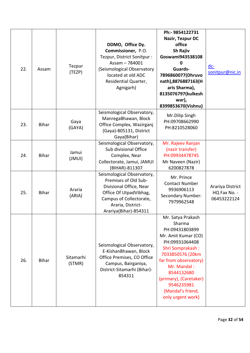| 22. | Assam        | Tezpur<br>(TEZP)    | DDMO, Office Dy.<br>Commissioner, P.O.<br>Tezpur, District Sonitpur :<br>Assam - 784001<br>(Seismological Observatory<br>located at old ADC<br>Residential Quarter,<br>Agnigarh) | Ph:- 9854122731<br>Nazir, Tezpur DC<br>office<br>Sh Rajiv<br>Goswami943538108<br>0<br>Guards-<br>7896860077(Dhruvo<br>nath),8876887163(H<br>aris Sharma),<br>8135076797(kulkesh<br>war),<br>8399853670(Vishnu)                                                         | $dc -$<br>sonitpur@nic.in                       |
|-----|--------------|---------------------|----------------------------------------------------------------------------------------------------------------------------------------------------------------------------------|------------------------------------------------------------------------------------------------------------------------------------------------------------------------------------------------------------------------------------------------------------------------|-------------------------------------------------|
| 23. | <b>Bihar</b> | Gaya<br>(GAYA)      | Seismological Observatory,<br>ManregaBhawan, Block<br>Office Complex, Wazirganj<br>(Gaya)-805131, District<br>Gaya(Bihar)                                                        | Mr.Dilip Singh<br>PH:09708662990<br>PH:8210528060                                                                                                                                                                                                                      |                                                 |
| 24. | <b>Bihar</b> | Jamui<br>(JMUI)     | Seismological Observatory,<br>Sub divisional Office<br>Complex, Near<br>Collectorate, Jamui, JAMUI<br>(BIHAR)-811307                                                             | Mr. Rajeev Ranjan<br>(nazir transfer)<br>PH:09934478745<br>Mr Naveen (Nazir)<br>6200827878                                                                                                                                                                             |                                                 |
| 25. | <b>Bihar</b> | Araria<br>(ARIA)    | Seismological Observatory,<br>Premises of Old Sub-<br>Divisional Office, Near<br>Office Of UtpadVibhag,<br>Campus of Collectorate,<br>Araria, District-<br>Arariya(Bihar)-854311 | Mr. Prince<br><b>Contact Number</b><br>9936906113<br><b>Secondary Number:</b><br>7979962548                                                                                                                                                                            | Arariya District<br>HQ Fax No. -<br>06453222124 |
| 26. | <b>Bihar</b> | Sitamarhi<br>(STMR) | Seismological Observatory,<br>E-KishanBhawan, Block<br>Office Premises, CO Office<br>Campus, Bairganiya,<br>District-Sitamarhi (Bihar)-<br>854311                                | Mr. Satya Prakash<br>Sharma<br>PH:09431803899<br>Mr. Amit Kumar (CO)<br>PH:09931064408<br>Shri Somprakash:<br>7033850576 (20km<br>far from observatory)<br>Mr. Mandal:<br>8544132680<br>(primary), (Caretaker)<br>9546235981<br>(Mandal's friend,<br>only urgent work) |                                                 |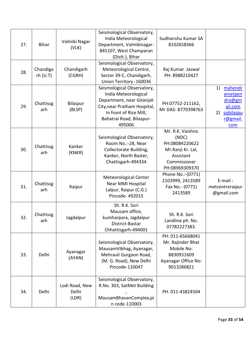| 27. | <b>Bihar</b>         | Valmiki Nagar<br>(VLK)           | Seismological Observatory,<br>India Meteorological<br>Department, Valmikinagar-<br>845107, West Champaran<br>(Distt.), Bihar                                                     | Sudhanshu Kumar SA<br>8102658366                                                                                |                                                                                     |
|-----|----------------------|----------------------------------|----------------------------------------------------------------------------------------------------------------------------------------------------------------------------------|-----------------------------------------------------------------------------------------------------------------|-------------------------------------------------------------------------------------|
| 28. | Chandiga<br>rh (U.T) | Chandigarh<br>(CGRH)             | Seismological Observatory,<br>Meteorological Centre,<br>Sector 39-C, Chandigarh,<br>Union Territory - 160036                                                                     | Raj Kumar Jaswal<br>PH: 8988210427                                                                              |                                                                                     |
| 29. | Chattissg<br>arh     | Bilaspur<br>(BLSP)               | Seismological Observatory,<br>India Meteorological<br>Department, near Gitanjali<br>City, near Pratham Hospital,<br>In front of Rice Mill,<br>Bahatrai Road, Bilaspur-<br>495006 | PH:07752-211162,<br>Mr DAS-8770398763                                                                           | 1)<br>mahendr<br>ametpen<br>dra@gm<br>ail.com<br>sobilaspu<br>2)<br>r@gmail.<br>com |
| 30. | Chattissg<br>arh     | Kanker<br>(KNKR)                 | Seismological Observatory,<br>Room No.:-28, Near<br>Collectorate Building,<br>Kanker, North Baster,<br>Chattisgarh-494334                                                        | Mr. R.K. Vaishno<br>(NDC)<br>PH:08084220622<br>Mr.Ranji Kr. Lal,<br>Assistant<br>Commissioner<br>PH:08969309370 |                                                                                     |
| 31. | Chattissg<br>arh     | Raipur                           | Meteorological Center<br>Near MMI Hospital<br>Lalpur, Raipur (C.G.)<br>Pincode-492015                                                                                            | Phone No.:- (0771)<br>2103999, 2413589<br>Fax No.- (0771)<br>2413589                                            | $E$ -mail:<br>metcentreraipur<br>@gmail.com                                         |
| 32. | Chattissg<br>arh     | Jagdalpur                        | Sh. R.K. Sori<br>Mausam office,<br>kumharpara, Jagdalpur<br>District-Bastar<br>Chhattisgarh-494001                                                                               | Sh. R.K. Sori<br>Landline ph. No.<br>07782227383.                                                               |                                                                                     |
| 33. | Delhi                | Ayanagar<br>(AYAN)               | Seismological Observatory,<br>MausamVibhag, Ayanagar,<br>Mehrauli Gurgaon Road,<br>(M. G. Road), New Delhi<br>Pincode-110047                                                     | PH: 011-65668041<br>Mr. Rajinder Bhat<br>Mobile No:<br>8830931609<br>Ayanagar Office No:<br>9013286821          |                                                                                     |
| 34. | Delhi                | Lodi Road, New<br>Delhi<br>(LDR) | Seismological Observatory,<br>R.No. 303, SatMet Building<br>MausamBhavanComplex,pi<br>n code-110003                                                                              | PH. 011-43824504                                                                                                |                                                                                     |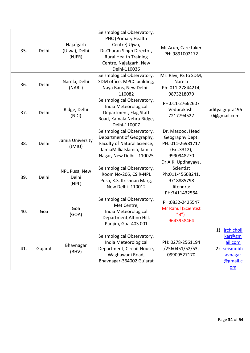|     |         |                                      | Seismological Observatory,                                                                                                                      |                                                                                                 |                                                                                                    |
|-----|---------|--------------------------------------|-------------------------------------------------------------------------------------------------------------------------------------------------|-------------------------------------------------------------------------------------------------|----------------------------------------------------------------------------------------------------|
| 35. | Delhi   | Najafgarh<br>(Ujwa), Delhi<br>(NJFR) | PHC (Primary Health<br>Centre) Ujwa,<br>Dr.Charan Singh Director,<br><b>Rural Health Training</b><br>Centre, Najafgarh, New<br>Delhi-110036     | Mr Arun, Care taker<br>PH: 9891002172                                                           |                                                                                                    |
| 36. | Delhi   | Narela, Delhi<br>(NARL)              | Seismological Observatory,<br>SDM office, MPCC building,<br>Naya Bans, New Delhi -<br>110082                                                    | Mr. Ravi, PS to SDM,<br>Narela<br>Ph: 011-27844214,<br>9873218079                               |                                                                                                    |
| 37. | Delhi   | Ridge, Delhi<br>(NDI)                | Seismological Observatory,<br>India Meteorological<br>Department, Flag Staff<br>Road, Kamala Nehru Ridge,<br>Delhi-110007                       | PH:011-27662607<br>Vedprakash-<br>7217794527                                                    | aditya.gupta196<br>0@gmail.com                                                                     |
| 38. | Delhi   | Jamia University<br>$($ JMIU $)$     | Seismological Observatory,<br>Department of Geography,<br>Faculty of Natural Science,<br>JamiaMilliaIslamia, Jamia<br>Nagar, New Delhi - 110025 | Dr. Masood, Head<br>Geography Dept.<br>PH: 011-26981717<br>(Ext.3312),<br>9990948270            |                                                                                                    |
| 39. | Delhi   | NPL Pusa, New<br>Delhi<br>(NPL)      | Seismological Observatory,<br>Room No-206, CSIR-NPL<br>Pusa, K.S. Krishnan Marg,<br>New Delhi -110012                                           | Dr A.K. Updhayaya,<br>Scientist<br>Ph:011-45608241,<br>9718885798<br>Jitendra:<br>PH:7411432564 |                                                                                                    |
| 40. | Goa     | Goa<br>(GOA)                         | Seismological Observatory,<br>Met Centre,<br>India Meteorological<br>Department, Altino Hill,<br>Panjim, Goa-403 001                            | PH:0832-2425547<br><b>Mr Rahul (Scientist</b><br>$H^{\prime}B^{\prime\prime}$ -<br>9643958464   |                                                                                                    |
| 41. | Gujarat | Bhavnagar<br>(BHV)                   | Seismological Observatory,<br>India Meteorological<br>Department, Circuit House,<br>Waghawadi Road,<br>Bhavnagar-364002 Gujarat                 | PH: 0278-2561194<br>/2560451/52/53,<br>09909527170                                              | <i><u>irchicholi</u></i><br>1)<br>kar@gm<br>ail.com<br>seismobh<br>2)<br>avnagar<br>@gmail.c<br>om |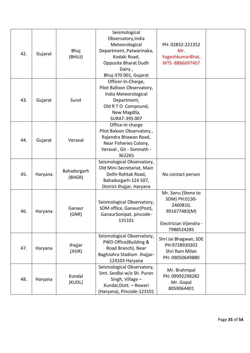| 42. | Gujarat | Bhuj<br>(BHUJ)        | Seismological<br>Observatory, India<br>Meteorological<br>Department, Patwarinaka,<br>Kodaki Road,<br>Opposite Bharat Dudh<br>Dairy,<br>Bhuj-370 001, Gujarat | PH: 02832-221352<br>Mr.<br>YogeshkumarBhat,<br>MTS-8866697407                                           |  |
|-----|---------|-----------------------|--------------------------------------------------------------------------------------------------------------------------------------------------------------|---------------------------------------------------------------------------------------------------------|--|
| 43. | Gujarat | Surat                 | Officer-In-Charge,<br>Pilot Balloon Observatory,<br>India Meteorological<br>Department,<br>Old RTO Compound,<br>New Magdlla,<br>SURAT-395 007                |                                                                                                         |  |
| 44. | Gujarat | Veraval               | Office-In charge<br>Pilot Baloon Observatory,<br>Rajendra Bhawan Road,<br>Near Fisheries Colony,<br>Veraval, Gir - Somnath -<br>362265                       |                                                                                                         |  |
| 45. | Haryana | Bahadurgarh<br>(BHGR) | Seismological Observatory,<br>Old Mini-Secretariat, Main<br>Delhi-Rohtak Road,<br>Bahadurgarh-124 507,<br>District Jhajjar, Haryana                          | No contact person                                                                                       |  |
| 46. | Haryana | Ganaur<br>(GNR)       | Seismological Observatory,<br>SDM office, Ganaur(Post),<br>GanaurSonipat, pincode-<br>131101                                                                 | Mr. Sonu (Steno to<br>SDM) PH:0130-<br>2460810,<br>991677483(M)<br>Electrician Vijendra -<br>7988524285 |  |
| 47. | Haryana | Jhajjar<br>(JHJR)     | Seismological Observatory,<br>PWD Office(Building &<br>Road Branch), Near<br>BaghJohra Stadium Jhajjar-<br>124103 Haryana                                    | Shri Jai Bhagwan, SDE<br>PH:9728930302<br>Shri Ram Milan<br>PH: 09050649880                             |  |
| 48. | Haryana | Kundal<br>(KUDL)      | Seismological Observatory,<br>Smt. SeoBai w/o Sh. Puran<br>Singh, Village -<br>Kundal, Distt. - Rewari<br>(Haryana), Pincode-123101                          | Mr. Brahmpal<br>PH: 09992298282<br>Mr. Gopal<br>8059064401                                              |  |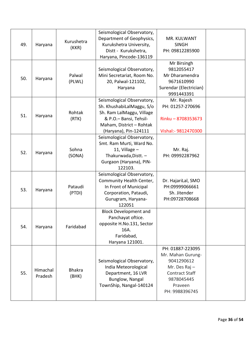| 49. | Haryana             | Kurushetra<br>(KKR)    | Seismological Observatory,<br>Department of Geophysics,<br>Kurukshetra University,<br>Distt - Kurukshetra,<br>Haryana, Pincode-136119                               | MR. KULWANT<br><b>SINGH</b><br>PH: 09812285900                                                                                                    |  |
|-----|---------------------|------------------------|---------------------------------------------------------------------------------------------------------------------------------------------------------------------|---------------------------------------------------------------------------------------------------------------------------------------------------|--|
| 50. | Haryana             | Palwal<br>(PLWL)       | Seismological Observatory,<br>Mini Secretariat, Room No.<br>20, Palwal-121102,<br>Haryana                                                                           | Mr Birsingh<br>9812055417<br>Mr Dharamendra<br>9671610990<br>Surendar (Electrician)<br>9991443391                                                 |  |
| 51. | Haryana             | Rohtak<br>(RTK)        | Seismological Observatory,<br>Sh. KhushabiLalMaggu, S/o<br>Sh. Ram LalMaggu, Village<br>& P.O.- Bansi, Tehsil-<br>Maham, District - Rohtak<br>(Haryana), Pin-124111 | Mr. Rajesh<br>PH: 01257-270696<br>Rinku-8708353673<br>Vishal:- 9812470300                                                                         |  |
| 52. | Haryana             | Sohna<br>(SONA)        | Seismological Observatory,<br>Smt. Ram Murti, Ward No.<br>11, Village $-$<br>Thakurwada, Distt. -<br>Gurgaon (Haryana), PIN-<br>122103.                             | Mr. Raj.<br>PH: 09992287962                                                                                                                       |  |
| 53. | Haryana             | Pataudi<br>(PTDI)      | Seismological Observatory,<br>Community Health Center,<br>In Front of Municipal<br>Corporation, Pataudi,<br>Gurugram, Haryana-<br>122051                            | Dr. HajariLal, SMO<br>PH:09999066661<br>Sh. Jitender<br>PH:09728708668                                                                            |  |
| 54. | Haryana             | Faridabad              | <b>Block Development and</b><br>Panchayat oftice.<br>opposite H.No.131, Sector<br>16A.<br>Faridabad,<br>Haryana 121001.                                             |                                                                                                                                                   |  |
| 55. | Himachal<br>Pradesh | <b>Bhakra</b><br>(BHK) | Seismological Observatory,<br>India Meteorological<br>Department, 16 LVR<br>Bunglow, Nangal<br>TownShip, Nangal-140124                                              | PH: 01887-223095<br>Mr. Mahan Gurung-<br>9041290612<br>Mr. Des $\text{Raj}$ –<br><b>Contract Staff</b><br>9878045445<br>Praveen<br>PH: 9988396745 |  |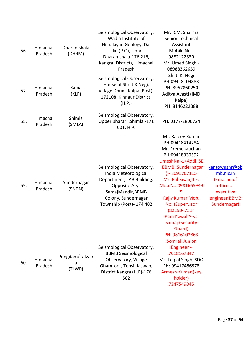| 56. | Himachal<br>Pradesh | Dharamshala<br>(DHRM)         | Seismological Observatory,<br>Wadia Institute of<br>Himalayan Geology, Dal<br>Lake (P.O), Upper<br>Dharamshala-176 216,<br>Kangra (District), Himachal<br>Pradesh        | Mr. R.M. Sharma<br>Senior Technical<br>Assistant<br>Mobile No.-<br>9882122330<br>Mr. Umed Singh -<br>08988362659                                                                                                                                                                                               |                                                                                                       |
|-----|---------------------|-------------------------------|--------------------------------------------------------------------------------------------------------------------------------------------------------------------------|----------------------------------------------------------------------------------------------------------------------------------------------------------------------------------------------------------------------------------------------------------------------------------------------------------------|-------------------------------------------------------------------------------------------------------|
| 57. | Himachal<br>Pradesh | Kalpa<br>(KLP)                | Seismological Observatory,<br>House of Shri J.K.Negi,<br>Village Dhuni, Kalpa (Post)-<br>172108, Kinnaur District,<br>(H.P.)                                             | Sh. J. K. Negi<br>PH:09418109888<br>PH: 8957860250<br>Aditya Avasti (IMD<br>Kalpa)<br>PH: 8146222388                                                                                                                                                                                                           |                                                                                                       |
| 58. | Himachal<br>Pradesh | Shimla<br>(SMLA)              | Seismological Observatory,<br>Upper Bharari, Shimla -171<br>001, H.P.                                                                                                    | PH. 0177-2806724                                                                                                                                                                                                                                                                                               |                                                                                                       |
| 59. | Himachal<br>Pradesh | Sundernagar<br>(SNDN)         | Seismological Observatory,<br>India Meteorological<br>Department, LAB Building,<br>Opposite Arya<br>SamajMandir, BBMB<br>Colony, Sundernagar<br>Township (Post)- 174 402 | Mr. Rajeev Kumar<br>PH:09418414784<br>Mr. Premchauchan<br>PH:09418030592<br>UmeshNaik, (Addl. SE<br>, BBMB, Sundernagar<br>$) - 8091767115$<br>Mr. Bal Kisan, J.E.<br>Mob.No.0981665949<br>Rajiv Kumar Mob.<br>No. (Supervisor<br>)8219047514<br>Ram Kewal Arya<br>Samaj (Security<br>Guard)<br>PH: 9816103863 | xentownsnr@bb<br>mb.nic.in<br>(Email id of<br>office of<br>executive<br>engineer BBMB<br>Sundernagar) |
| 60. | Himachal<br>Pradesh | Pongdam/Talwar<br>a<br>(TLWR) | Seismological Observatory,<br><b>BBMB Seismological</b><br>Observatory, Village<br>Ghamroor, Tehsil Jaswan,<br>District Kangra (H.P)-176<br>502                          | Somraj Junior<br>Engineer -<br>7018167847<br>Mr. Tejpal Singh, SDO<br>PH: 09417456978<br>Armesh Kumar (key<br>holder)<br>7347549045                                                                                                                                                                            |                                                                                                       |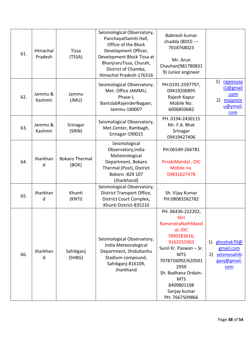| 61. | Himachal<br>Pradesh | <b>Tissa</b><br>(TSSA)         | Seismological Observatory,<br>PanchayatSamiti Hall,<br>Office of the Block<br>Development Officer,<br>Development Block Tissa at<br>BhanjraruTissa, Churah,<br>District of Chamba,<br>Himachal Pradesh-176316 | Babnesh kumar<br>chadda (BDO) ---<br>7018768023<br>Mr. Arun<br>Chauhan(981780831<br>9) Junior engineer                                                                                                                                          |                                                                                 |
|-----|---------------------|--------------------------------|---------------------------------------------------------------------------------------------------------------------------------------------------------------------------------------------------------------|-------------------------------------------------------------------------------------------------------------------------------------------------------------------------------------------------------------------------------------------------|---------------------------------------------------------------------------------|
| 62. | Jammu &<br>Kashmir  | Jammu<br>(JMU)                 | Seismological Observatory,<br>Met. Office JAMMU,<br>Phase-I,<br>BantslabRajenderNagaer,<br>Jammu-180007                                                                                                       | PH:0191-2597797,<br>09419206895<br>Rajesh Kapur<br>Mobile No.<br>6006850682                                                                                                                                                                     | 1)<br>rajeesusa<br>i1@gmail<br>.com<br>mojamm<br>2)<br>u@ymail.<br>com          |
| 63. | Jammu &<br>Kashmir  | Srinagar<br>(SRIN)             | Seismological Observatory,<br>Met.Center, Rambagh,<br>Srinagar-190015                                                                                                                                         | PH. 0194-2430115<br>Mr. F.A. Bhat<br>Srinagar<br>09419427406                                                                                                                                                                                    |                                                                                 |
| 64. | Jharkhan<br>d       | <b>Bokaro Thermal</b><br>(BOK) | Seismological<br>Observatory, India<br>Meteorological<br>Department, Bokaro<br>Thermal (Post), District<br>Bokaro - 829 107<br>(Jharkhand)                                                                    | PH:06549-266781<br>PinakiMandal, OIC<br>Mobile no.<br>09831027478                                                                                                                                                                               |                                                                                 |
| 65. | Jharkhan<br>d       | Khunti<br>(KNTI)               | Seismological Observatory,<br>District Transport Office,<br>District Court Complex,<br>Khunti District-835210                                                                                                 | Sh. Vijay Kumar<br>PH:08083582782                                                                                                                                                                                                               |                                                                                 |
| 66. | Jharkhan<br>d       | Sahibganj<br>(SHBG)            | Seismological Observatory,<br>India Meteorological<br>Department, ShiduKanhu<br>Stadium compound,<br>Sahibganj-816109,<br>Jharkhand                                                                           | PH. 06436-222202,<br>Shri<br>RamendraNathMand<br>al, OIC<br>7890283616,<br>9163255903<br>Sunil Kr. Paswan - Sr.<br><b>MTS</b><br>7078726092/620501<br>2950<br>Sh. Badhana Ordain-<br><b>MTS</b><br>8409801198<br>Sanjay kumar<br>PH: 7667509866 | ghoshak70@<br>1)<br>gmail.com<br>seismosahib<br>2)<br>ganj@gmail.<br><u>com</u> |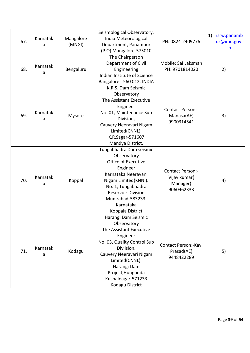| 67. | Karnatak<br>a | Mangalore<br>(MNGI) | Seismological Observatory,<br>India Meteorological<br>Department, Panambur<br>(P.O) Mangalore-575010                                                                                                                                             | PH: 0824-2409776                                                  | 1)<br>rsrw.panamb<br>ur@imd.gov.<br>in |
|-----|---------------|---------------------|--------------------------------------------------------------------------------------------------------------------------------------------------------------------------------------------------------------------------------------------------|-------------------------------------------------------------------|----------------------------------------|
| 68. | Karnatak<br>a | Bengaluru           | The Chairperson<br>Department of Civil<br>Engineering<br>Indian Institute of Science<br>Bangalore - 560 012. INDIA                                                                                                                               | Mobile: Sai Laksman<br>PH: 9701814020                             | 2)                                     |
| 69. | Karnatak<br>a | Mysore              | K.R.S. Dam Seismic<br>Observatory<br>The Assistant Executive<br>Engineer<br>No. 01, Maintenance Sub<br>Division,<br>Cauvery Neeravari Nigam<br>Limited(CNNL).<br>K.R.Sagar-571607<br>Mandya District.                                            | Contact Person:-<br>Manasa(AE)<br>9900314541                      | 3)                                     |
| 70. | Karnatak<br>a | Koppal              | Tungabhadra Dam seismic<br>Observatory<br>Office of Executive<br>Engineer<br>Karnataka Neeravani<br>Nigam Limited(KNNI).<br>No. 1, Tungabhadra<br><b>Reservoir Division</b><br>Munirabad-583233,<br>Karnataka<br>Koppala District                | <b>Contact Person:-</b><br>Vijay kumar(<br>Manager)<br>9060462333 | 4)                                     |
| 71. | Karnatak<br>a | Kodagu              | Harangi Dam Seismic<br>Observatory<br>The Assistant Executive<br>Engineer<br>No. 03, Quality Control Sub<br>Div ision.<br>Cauvery Neeravari Nigam<br>Limited(CNNL).<br>Harangi Dam<br>Project, Hungunda<br>Kushalnagar-571233<br>Kodagu District | Contact Person:-Kavi<br>Prasad(AE)<br>9448422289                  | 5)                                     |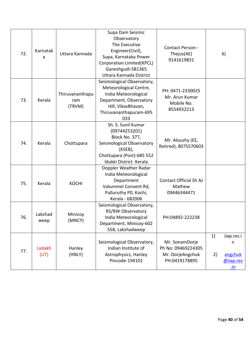| 72. | Karnatak<br>a   | Uttara Kannada                   | Supa Dam Seismic<br>Observatory<br>The Executive<br>Engineer(Civil),<br>Supa, Karnataka Power<br>Corporation Limited(KPCL)<br>Ganeshgudi-581365<br>Uttara Kannada District | Contact Person:-<br>Thejus(AE)<br>9141619831                              |          | 6)                                                    |
|-----|-----------------|----------------------------------|----------------------------------------------------------------------------------------------------------------------------------------------------------------------------|---------------------------------------------------------------------------|----------|-------------------------------------------------------|
| 73. | Kerala          | Thiruvananthapu<br>ram<br>(TRVM) | Seismological Observatory,<br>Meteorological Centre,<br>India Meteorological<br>Department, Observatory<br>Hill, VikasBhavan,<br>Thiruvananthapuram-695<br>033             | PH: 0471-2330025<br>Mr. Arun Kumar<br>Mobile No.<br>8554932213            |          |                                                       |
| 74. | Kerala          | Chottupara                       | Sh. S. Sunil Kumar<br>(09744253201)<br>Block No. 377,<br>Seismological Observatory<br>(KSEB),<br>Chottupara (Post)-685 552<br>Idukki District. Kerala                      | Mr. Aloushy (EE,<br>Retired), 8075570603                                  |          |                                                       |
| 75. | Kerala          | <b>KOCHI</b>                     | Doppler Weather Radar<br>India Meteorological<br>Department<br>Valummel Convent Rd,<br>Palluruthy PO, Kochi,<br>Kerala - 682006                                            | Contact Official Sh AJ<br>Mathew<br>09446344471                           |          |                                                       |
| 76. | Lakshad<br>weep | Minicoy<br>(MNCY)                | Seismological Observatory,<br>RS/RW Observatory<br>India Meteorological<br>Department, Minicoy-602<br>558, Lakshadweep                                                     | PH:04892-222238                                                           |          |                                                       |
| 77. | Ladakh<br>(UT)  | Hanley<br>(HNLY)                 | Seismological Observatory,<br>Indian Institute of<br>Astrophysics, Hanley<br>Pincode-194101                                                                                | Mr. SonamDorje<br>Ph No: 09469224305<br>Mr. DorjeAngchuk<br>PH:0419178895 | 1)<br>2) | iiap.res.i<br>n<br>angchuk<br>@ijap.res<br><u>.in</u> |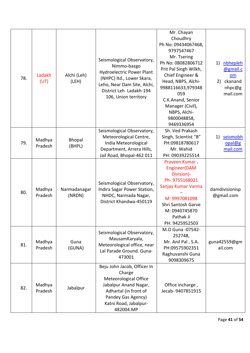| 78. | Ladakh<br>(UT)    | Alchi (Leh)<br>(LEH)   | Seismological Observatory,<br>Nimmo-bazgo<br><b>Hydroelectric Power Plant</b><br>(NHPC) ltd., Lower Skara,<br>Leho, Near Dam Site, Alchi,<br>District Leh Ladakh-194<br>106, Union territory | Mr. Chayan<br>Choudhry<br>Ph No: 09434067468,<br>9797547467<br>Mr. Tsering<br>Ph No: 08082806712<br>Prit Pal Singh Wilkh,<br>Chief Engineer &<br>Head, NBPS, Alchi-<br>9988116633,979348<br>059<br>C.K.Anand, Senior<br>Manager (Civil),<br>NBPS, Alchi-<br>9800048858,<br>9469336954 | nbhepleh<br>1)<br>@gmail.c<br>om<br>ckanand<br>2)<br>nhpc@g<br>mail.com |
|-----|-------------------|------------------------|----------------------------------------------------------------------------------------------------------------------------------------------------------------------------------------------|---------------------------------------------------------------------------------------------------------------------------------------------------------------------------------------------------------------------------------------------------------------------------------------|-------------------------------------------------------------------------|
| 79. | Madhya<br>Pradesh | Bhopal<br>(BHPL)       | Seismological Observatory,<br>Meteorological Centre,<br>India Meteorological<br>Department, Arrera Hills,<br>Jail Road, Bhopal-462 011                                                       | Sh. Ved Prakash<br>Singh, Scientist "B"<br>PH:09818780617<br>Mr. Wahid<br>PH: 09039225514                                                                                                                                                                                             | seismobh<br>1)<br>opal@g<br>mail.com                                    |
| 80. | Madhya<br>Pradesh | Narmadanagar<br>(NRDN) | Seismological Observatory,<br>Indira Sagar Power Station,<br>NHDC, Narmada Nagar,<br>District Khandwa-450119                                                                                 | Praveen Kumar,<br>Engineer(DAM<br>Division)-<br>Ph-9755168021<br>Sanjay Kumar Varma<br>M: 9997081098<br>Shri Santosh Garve<br>M: 0940745870<br>Pathak Ji<br>PH: 9425952503                                                                                                            | damdivisionisp<br>@gmail.com                                            |
| 81. | Madhya<br>Pradesh | Guna<br>(GUNA)         | Seismological Observatory,<br>MausamKaryala,<br>Meteorological office, near<br>Lal Parade Ground. Guna-<br>473001                                                                            | M.O Guna -07542-<br>252748,<br>Mr. Anil Pal, S.A.<br>PH:09575902351<br>Raghuvanshi Guna<br>9098309675                                                                                                                                                                                 | guna42559@gm<br>ail.com                                                 |
| 82. | Madhya<br>Pradesh | Jabalpur               | Beju John Jacob, Officer In<br>Charge<br>Meteorological Office<br>Jabalpur Anand Nagar,<br>Adhartal (in front of<br>Pandey Gas Agency)<br>Katni Road, Jabalpur-<br>482004.MP                 | Office incharge,<br>Jecab-9407851915                                                                                                                                                                                                                                                  |                                                                         |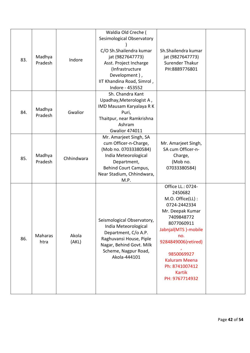| 83. | Madhya<br>Pradesh | Indore         | Waldia Old Creche (<br>Sesimological Observatory<br>C/O Sh.Shailendra kumar<br>jat (9827647773)<br>Asst. Project Incharge<br>(Infrastructure<br>Development),<br>IIT Khandina Road, Simrol,<br>Indore - 453552 | Sh.Shailendra kumar<br>jat (9827647773)<br><b>Surender Thakur</b><br>PH:8889776801                                                                                                                                                                               |  |
|-----|-------------------|----------------|----------------------------------------------------------------------------------------------------------------------------------------------------------------------------------------------------------------|------------------------------------------------------------------------------------------------------------------------------------------------------------------------------------------------------------------------------------------------------------------|--|
| 84. | Madhya<br>Pradesh | Gwalior        | Sh. Chandra Kant<br>Upadhay, Meterologist A,<br>IMD Mausam Karyalaya R K<br>Puri,<br>Thaitpur, near Ramkrishna<br>Ashram<br><b>Gwalior 474011</b>                                                              |                                                                                                                                                                                                                                                                  |  |
| 85. | Madhya<br>Pradesh | Chhindwara     | Mr. Amarjeet Singh, SA<br>cum Officer-n-Charge,<br>(Mob no. 07033380584)<br>India Meteorological<br>Department,<br>Behind Court Campus,<br>Near Stadium, Chhindwara,<br>M.P.                                   | Mr. Amarjeet Singh,<br>SA cum Officer-n-<br>Charge,<br>(Mob no.<br>07033380584)                                                                                                                                                                                  |  |
| 86. | Maharas<br>htra   | Akola<br>(AKL) | Seismological Observatory,<br>India Meteorological<br>Department, C/o A.P.<br>Raghuvansi House, Piple<br>Nagar, Behind Govt. Milk<br>Scheme, Nagpur Road,<br>Akola-444101                                      | Office LL.: 0724-<br>2450682<br>M.O. Office(LL):<br>0724-2442334<br>Mr. Deepak Kumar<br>7409848772<br>8077060911<br>Jabnjal(MTS)-mobile<br>no.<br>9284849006(retired)<br>9850069927<br><b>Kaluram Meena</b><br>Ph: 8741007412<br><b>Kartik</b><br>PH: 9767714932 |  |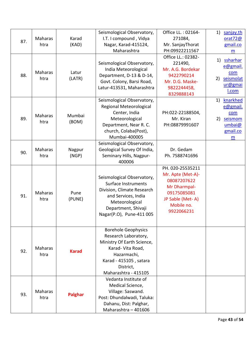| 87. | Maharas<br>htra        | Karad<br>(KAD)  | Seismological Observatory,<br>I.T. I compound, Vidya<br>Nagar, Karad-415124,<br>Maharashtra                                                                                         | Office LL.: 02164-<br>271084,<br>Mr. SanjayThorat<br>PH:09922211567<br>Office LL.: 02382-                                           | 1)<br>sanjay.th<br>orat72@<br>gmail.co<br>m<br>ssharhar<br>1)                 |
|-----|------------------------|-----------------|-------------------------------------------------------------------------------------------------------------------------------------------------------------------------------------|-------------------------------------------------------------------------------------------------------------------------------------|-------------------------------------------------------------------------------|
| 88. | Maharas<br>htra        | Latur<br>(LATR) | Seismological Observatory,<br>India Meteorological<br>Department, D-13 & D-14,<br>Govt. Colony, Barsi Road,<br>Latur-413531, Maharashtra                                            | 221490,<br>Mr. A.G. Bordekar<br>9422790214<br>Mr. D.G. Maske-<br>9822244458,<br>8329888143                                          | e@gmail.<br>com<br>seismolat<br>2)<br>ur@gmai<br>I.com                        |
| 89. | <b>Maharas</b><br>htra | Mumbai<br>(BOM) | Seismological Observatory,<br>Regional Meteorological<br>Center, India<br>Meteorological<br>Department, Near R. C.<br>church, Colaba(Post),<br>Mumbai-400005                        | PH:022-22188504,<br>Mr. Kiran<br>PH:08879991607                                                                                     | knarkhed<br>1)<br>e@gmail.<br>com<br>seismom<br>2)<br>umbai@<br>gmail.co<br>m |
| 90. | <b>Maharas</b><br>htra | Nagpur<br>(NGP) | Seismological Observatory,<br>Geological Survey Of India,<br>Seminary Hills, Nagpur-<br>400006                                                                                      | Dr. Gedam<br>Ph. 7588741696                                                                                                         |                                                                               |
| 91. | Maharas<br>htra        | Pune<br>(PUNE)  | Seismological Observatory,<br>Surface Instruments<br>Division, Climate Research<br>and Services, India<br>Meteorological<br>Department, Shivaji<br>Nagar(P.O), Pune-411 005         | PH. 020-25535211<br>Mr. Apte (Met-A)-<br>08087207622<br>Mr Dharmpal-<br>09175085081<br>JP Sable (Met-A)<br>Mobile no.<br>9922066231 |                                                                               |
| 92. | <b>Maharas</b><br>htra | <b>Karad</b>    | <b>Borehole Geophysics</b><br>Research Laboratory,<br>Ministry Of Earth Science,<br>Karad- Vita Road,<br>Hazarmachi,<br>Karad - 415105, satara<br>District,<br>Maharashtra - 415105 |                                                                                                                                     |                                                                               |
| 93. | Maharas<br>htra        | <b>Palghar</b>  | Vedanta Institute of<br>Medical Science,<br>Village: Saswand.<br>Post: Dhundalwadi, Taluka:<br>Dahanu, Dist: Palghar,<br>Maharashtra - 401606                                       |                                                                                                                                     |                                                                               |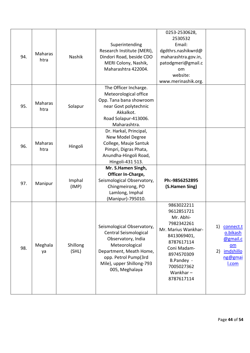| 94. | Maharas<br>htra        | Nashik            | Superintending<br>Research Institute (MERI),<br>Dindori Road, beside CDO<br>MERI Colony, Nashik,<br>Maharashtra 422004.                                                                       | 0253-2530628,<br>2530532<br>Email:<br>dgdthrs.nashikwrd@<br>maharashtra.gov.in,<br>patodgmeri@gmail.c<br><b>om</b><br>website:<br>www.merinashik.org.                                         |                                                                                        |
|-----|------------------------|-------------------|-----------------------------------------------------------------------------------------------------------------------------------------------------------------------------------------------|-----------------------------------------------------------------------------------------------------------------------------------------------------------------------------------------------|----------------------------------------------------------------------------------------|
| 95. | Maharas<br>htra        | Solapur           | The Officer Incharge.<br>Meteorological office<br>Opp. Tana bana showroom<br>near Govt polytechnic<br>Akkalkot.<br>Road Solapur-413006.<br>Maharashtra.                                       |                                                                                                                                                                                               |                                                                                        |
| 96. | <b>Maharas</b><br>htra | Hingoli           | Dr. Harkal, Principal,<br>New Model Degree<br>College, Mauje Santuk<br>Pimpri, Digras Phata,<br>Anundha-Hingoli Road,<br>Hingoli-431 513.                                                     |                                                                                                                                                                                               |                                                                                        |
| 97. | Manipur                | Imphal<br>(IMP)   | Mr. S.Hamen Singh,<br>Officer In-Charge,<br>Seismological Observatory,<br>Chingmeirong, PO<br>Lamlong, Imphal<br>(Manipur)-795010.                                                            | Ph:-9856252895<br>(S.Hamen Sing)                                                                                                                                                              |                                                                                        |
| 98. | Meghala<br>ya          | Shillong<br>(SHL) | Seismological Observatory,<br>Central Seismological<br>Observatory, India<br>Meteorological<br>Department, Meath Home,<br>opp. Petrol Pump(3rd<br>Mile), upper Shillong-793<br>005, Meghalaya | 9863022211<br>9612851721<br>Mr. Abhi-<br>7982342261<br>Mr. Marius Wankhar-<br>8413069401,<br>8787617114<br>Coni Madam-<br>8974570309<br>B.Pandey -<br>7005027362<br>Wankhar $-$<br>8787617114 | 1)<br>connect.t<br>o.bikash<br>@gmail.c<br>$om$<br>imdshillo<br>2)<br>ng@gmai<br>I.com |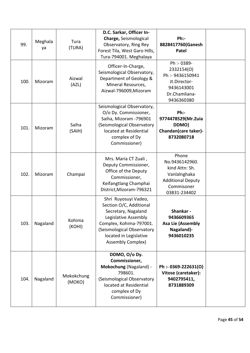| 99.  | Meghala<br>ya | Tura<br>(TURA)       | D.C. Sarkar, Officer In-<br><b>Charge, Seismological</b><br>Observatory, Ring Rey<br>Forest Tila, West Garo Hills,<br>Tura-794001. Meghalaya                                                                  | Ph:-<br>8828417760(Ganesh<br>Patel                                                                                  |  |
|------|---------------|----------------------|---------------------------------------------------------------------------------------------------------------------------------------------------------------------------------------------------------------|---------------------------------------------------------------------------------------------------------------------|--|
| 100. | Mizoram       | Aizwal<br>(AZL)      | Officer-In-Charge,<br>Seismological Observatory,<br>Department of Geology &<br>Mineral Resources,<br>Aizwal-796009, Mizoram                                                                                   | Ph :- 0389-<br>2332154(O)<br>Ph :- 9436150941<br>Jt.Director-<br>9436143001<br>Dr.Chamliana-<br>9436360380          |  |
| 101. | Mizoram       | Saiha<br>(SAIH)      | Seismological Observatory,<br>O/o Dy. Commissioner,<br>Saiha, Mizoram - 796901<br>(Seismological Observatory<br>located at Residential<br>complex of Dy<br>Commissioner)                                      | Ph:-<br>9774478529(Mr.Zuia<br>DDMO)<br>Chandan(care taker)-<br>8732080718                                           |  |
| 102. | Mizoram       | Champai              | Mrs. Maria CT Zuali,<br>Deputy Commissioner,<br>Office of the Deputy<br>Commissioner,<br>Keifangtlang Champhai<br>District, Mizoram-796321                                                                    | Phone<br>No.9436142960.<br>kind Attn: Sh.<br>Vanlalnghaka<br><b>Additional Deputy</b><br>Commisoner<br>03831-234402 |  |
| 103. | Nagaland      | Kohima<br>(KOHI)     | Shri Ruyosuyi Vadeo,<br>Section O/C, Additional<br>Secretary, Nagaland<br>Legislative Assembly<br>Complex, Kohima-797001.<br>(Seismological Observatory<br>located in Legislative<br><b>Assembly Complex)</b> | Shankar -<br>9436609365<br><b>Asa Lie (Assembly</b><br>Nagaland)-<br>9436010235                                     |  |
| 104. | Nagaland      | Mokokchung<br>(MOKO) | DDMO, O/o Dy.<br>Commissioner,<br>Mokochung (Nagaland) -<br>798601.<br>(Seismological Observatory<br>located at Residential<br>complex of Dy<br>Commissioner)                                                 | Ph :- 0369-222631(O)<br>Vitose (caretaker):<br>9402795411,<br>8731889309                                            |  |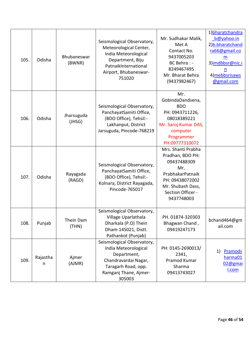| 105. | Odisha        | Bhubaneswar<br>(BWNR) | Seismological Observatory,<br>Meteorological Center,<br>India Meteorological<br>Department, Biju<br>PatnaikInternational<br>Airport, Bhubaneswar-<br>751020 | Mr. Sudhakar Malik,<br>Met A<br>Contact No.<br>9437005203<br>BC Behra: -<br>8249467495<br>Mr. Bharat Behra<br>(9437982467)                                  | 1)bharatchandra<br>b@yahoo.in<br>2) <b>b.bharatchand</b><br>ra66@gmail.co<br>m<br>3) imdbbsr@nic.i<br>n<br>4) mebbsrisaws<br>@gmail.com |
|------|---------------|-----------------------|-------------------------------------------------------------------------------------------------------------------------------------------------------------|-------------------------------------------------------------------------------------------------------------------------------------------------------------|-----------------------------------------------------------------------------------------------------------------------------------------|
| 106. | Odisha        | Jharsuguda<br>(JHSG)  | Seismological Observatory,<br>PanchayatSamiti Office,<br>(BDO Office), Tehsil:-<br>Lakhanput, District<br>Jarsuguda, Pincode-768219                         | Mr.<br>GobindaDandsena,<br><b>BDO</b><br>PH: 0943711226,<br>08018389221<br>Mr. Saroj Kumar DAS,<br>computer<br>Programmer<br>PH:09777310072                 |                                                                                                                                         |
| 107. | Odisha        | Rayagada<br>(RAGD)    | Seismological Observatory,<br>PanchayatSamiti Office,<br>(BDO Office), Tehsil:-<br>Kolnara, District Rayagada,<br>Pincode-765017                            | Mrs. Shanti Prabha<br>Pradhan, BDO PH:<br>09437488309<br>Mr.<br>PrabhakarPatnaik<br>PH: 09438072002<br>Mr. Shubash Dass,<br>Section Officer -<br>9437748003 |                                                                                                                                         |
| 108. | Punjab        | Thein Dam<br>(THN)    | Seismological Observatory,<br>Village Uparlathala<br>Dharkala (P.O) Thein<br>Dham-145021, Distt.<br>Pathankot (Punjab)                                      | PH. 01874-320303<br>Bhagwan Chand,<br>09419247173                                                                                                           | bchand464@gm<br>ail.com                                                                                                                 |
| 109. | Rajastha<br>n | Ajmer<br>(AJMR)       | Seismological Observatory,<br>India Meteorological<br>Department,<br>Chandravardai Nagar,<br>Taragarh Road, opp.<br>Ramganj Thane, Ajmer-<br>305003         | PH: 0145-2690013/<br>2341,<br>Pramod Kumar<br>Sharma<br>09413743027                                                                                         | 1)<br>Pramods<br>harma01<br>02@gmai<br><u>I.com</u>                                                                                     |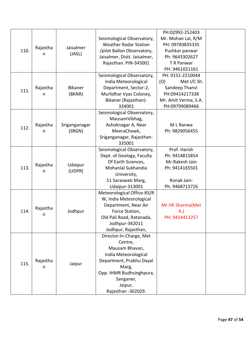|      |          |                |                              | PH:02992-252403      |  |
|------|----------|----------------|------------------------------|----------------------|--|
|      |          |                | Seismological Observatory,   | Mr. Mohan Lal, R/M   |  |
|      | Rajastha | Jaisalmer      | <b>Weather Radar Station</b> | PH: 09783835335      |  |
| 110. |          |                | /pilot Ballon Observatory,   | Pushkar panwar       |  |
|      | n        | (JASL)         | Jaisalmer, Distt. Jaisalmer, | Ph: 9643302627       |  |
|      |          |                | Rajasthan. PIN-345001        | T R Panwar           |  |
|      |          |                |                              | PH: 9461021161       |  |
|      |          |                | Seismological Observatory,   | PH: 0151-2210044     |  |
|      |          |                | India Meteorological         | Met I/C Sh.<br>(O)   |  |
|      | Rajastha | <b>Bikaner</b> | Department, Sector-2,        | Sandeep Thanvi       |  |
| 111. | n        | (BKNR)         | Murlidhar Vyas Coloney,      | PH:09414217338       |  |
|      |          |                | Bikaner (Rajasthan)-         | Mr. Amit Verma, S.A. |  |
|      |          |                | 334001                       | PH:09799089466       |  |
|      |          |                | Seismological Observatory,   |                      |  |
|      |          |                | MausamVibhag,                |                      |  |
|      | Rajastha | Sriganganagar  | Ashoknagar A, Near           | M L Ranwa            |  |
| 112. | n        | (SRGN)         | MeeraChowk,                  | Ph: 9829056455       |  |
|      |          |                | Sriganganagar, Rajasthan-    |                      |  |
|      |          |                | 335001                       |                      |  |
|      |          |                | Seismological Observatory,   | Prof. Harish         |  |
|      | Rajastha | Udaipur        | Dept. of Geology, Faculty    | Ph: 9414815854       |  |
|      |          |                | Of Earth Sciences,           | Mr.Rakesh Jain       |  |
| 113. |          |                | Mohanlal Sukhandia           | Ph: 9414165501       |  |
|      | n        | (UDPR)         | University,                  |                      |  |
|      |          |                | 51 Saraswati Marg,           | Ronak Jain-          |  |
|      |          |                | <b>Udaipur-313001</b>        | Ph. 9468713726       |  |
|      |          |                | Meteorological Office-RS/R   |                      |  |
|      |          |                | W, India Meteorological      |                      |  |
|      | Rajastha |                | Department, Near Air         | Mr HK Sharma (Met    |  |
| 114. |          | Jodhpur        | Force Station,               | A.)                  |  |
|      | n        |                | Old Pali Road, Ratanada,     | PH: 9414411257       |  |
|      |          |                | Jodhpur-342011               |                      |  |
|      |          |                | Jodhpur, Rajasthan,          |                      |  |
|      |          |                | Director-In-Charge, Met      |                      |  |
|      |          |                | Centre,                      |                      |  |
|      |          |                | Mausam Bhavan,               |                      |  |
|      |          |                | India Meteorological         |                      |  |
| 115. | Rajastha | Jaipur         | Deparlment, Prabhu Dayal     |                      |  |
|      | n        |                | Marg,                        |                      |  |
|      |          |                | Opp. IHMR Budhsinghpura,     |                      |  |
|      |          |                | Sanganer,                    |                      |  |
|      |          |                | Jaipur,                      |                      |  |
|      |          |                | Rajasthan - 302029.          |                      |  |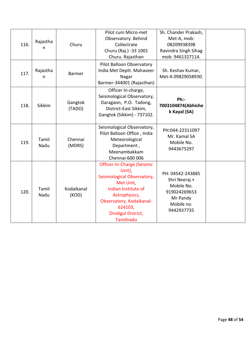| 116. | Rajastha<br>n | Churu               | Pilot cum Micro-met<br>Observatory. Behind<br>Collectrate<br>Churu (Raj.) -33 1001<br>Churu. Rajasthan                                                                                            | Sh. Chander Prakash,<br>Met-A, mob:<br>08209938398<br>Ravindra Singh Sihag<br>mob: 9461327114.          |  |
|------|---------------|---------------------|---------------------------------------------------------------------------------------------------------------------------------------------------------------------------------------------------|---------------------------------------------------------------------------------------------------------|--|
| 117. | Rajastha<br>n | <b>Barmer</b>       | <b>Pilot Balloon Observatory</b><br>India Met Deptt. Mahaveer<br>Nagar<br>Barmer-344001 (Rajasthan)                                                                                               | Sh. Keshav Kumar,<br>Met-A 09829058930.                                                                 |  |
| 118. | Sikkim        | Gangtok<br>(TADO)   | Officer In-charge,<br>Seismological Observatory,<br>Daragaon, P.O. Tadong,<br>District-East Sikkim,<br>Gangtok (Sikkim) - 737102.                                                                 | $Ph:$ -<br>7003104874(Abhishe<br>k Kayal (SA)                                                           |  |
| 119. | Tamil<br>Nadu | Chennai<br>(MDRS)   | Seismological Observatory,<br>Pilot Balloon Office, India<br>Meteorological<br>Department,<br>Meenambakkam<br>Chennai-600 006                                                                     | PH:044-22311097<br>Mr. Kamal SA<br>Mobile No.<br>9443675297                                             |  |
| 120. | Tamil<br>Nadu | Kodaikanal<br>(KOD) | Officer-In-Charge (Seismic<br>Unit),<br>Seismological Observatory,<br>Met Unit,<br>Indian Institute of<br>Astrophysics,<br>Observatory, Kodaikanal-<br>624103,<br>Dindigul District,<br>Tamilnadu | PH: 04542-243885<br>Shri Neeraj +<br>Mobile No.<br>919024269653<br>Mr Pandy<br>Mobile no.<br>9442937735 |  |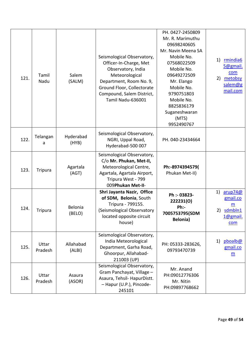| 121. | Tamil<br>Nadu    | Salem<br>(SALM)     | Seismological Observatory,<br>Officer-In-Charge, Met<br>Observatory, India<br>Meteorological<br>Department, Room No. 9,<br>Ground Floor, Collectorate<br>Compound, Salem District,<br>Tamil Nadu-636001 | PH. 0427-2450809<br>Mr. R. Marimuthu<br>09698240605<br>Mr. Navin Meena SA<br>Mobile No.<br>07568022509<br>Mobile No.<br>09649272509<br>Mr. Elango<br>Mobile No.<br>9790751803<br>Mobile No.<br>8825836179<br>Suganeshwaran<br>(MTS)<br>9952490767 | rmindia6<br>1)<br>5@gmail.<br>com<br>metobsy<br>2)<br>salem@g<br>mail.com |
|------|------------------|---------------------|---------------------------------------------------------------------------------------------------------------------------------------------------------------------------------------------------------|---------------------------------------------------------------------------------------------------------------------------------------------------------------------------------------------------------------------------------------------------|---------------------------------------------------------------------------|
| 122. | Telangan<br>a    | Hyderabad<br>(HYB)  | Seismological Observatory,<br>NGRI, Uppal Road,<br>Hyderabad-500 007                                                                                                                                    | PH. 040-23434664                                                                                                                                                                                                                                  |                                                                           |
| 123. | <b>Tripura</b>   | Agartala<br>(AGT)   | Seismological Observatory,<br>C/o Mr. Phukan, Met-II,<br>Meteorological Centre,<br>Agartala, Agartala Airport,<br>Tripura West - 799<br>009Phukan Met-II-                                               | Ph:-8974394579(<br>Phukan Met-II)                                                                                                                                                                                                                 |                                                                           |
| 124. | <b>Tripura</b>   | Belonia<br>(BELO)   | Shri Jayanta Nazir, Office<br>of SDM, Belonia, South<br>Tripura - 799155.<br>(Seismological Observatory<br>located opposite circuit<br>house)                                                           | Ph :- 03823-<br>222231(0)<br>$Ph:$ -<br>7005753795(SDM<br><b>Belonia</b> )                                                                                                                                                                        | arup74@<br>1)<br>gmail.co<br>m<br>sdmbln1<br>2)<br><u>1@gmail.</u><br>com |
| 125. | Uttar<br>Pradesh | Allahabad<br>(ALBI) | Seismological Observatory,<br>India Meteorological<br>Department, Garha Road,<br>Ghoorpur, Allahabad-<br>211003 (UP)                                                                                    | PH: 05333-283626,<br>09793470739                                                                                                                                                                                                                  | pboalb@<br>1)<br>gmail.co<br>$\underline{\mathsf{m}}$                     |
| 126. | Uttar<br>Pradesh | Asaura<br>(ASOR)    | Seismological Observatory,<br>Gram Panchayat, Village -<br>Asaura, Tehsil- HapurDistt.<br>- Hapur (U.P.), Pincode-<br>245101                                                                            | Mr. Anand<br>PH:09012776306<br>Mr. Nitin<br>PH:09897768662                                                                                                                                                                                        |                                                                           |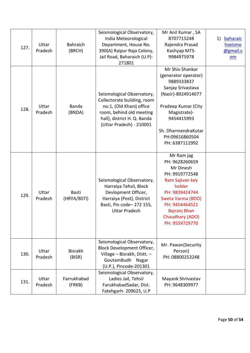| 127. | Uttar<br>Pradesh | <b>Bahraich</b><br>(BRCH)   | Seismological Observatory,<br>India Meteorological<br>Department, House No.<br>390(A) Raipur Raja Colony,<br>Jail Road, Baharaich (U.P)-<br>271801                           | Mr Anil Kumar, SA<br>8707715248<br>Rajendra Prasad<br>Kashyap MTS-<br>9984975978                                                                                                                                 | 1)<br>baharaic<br>hseismo<br>@gmail.c<br>$om$ |
|------|------------------|-----------------------------|------------------------------------------------------------------------------------------------------------------------------------------------------------------------------|------------------------------------------------------------------------------------------------------------------------------------------------------------------------------------------------------------------|-----------------------------------------------|
| 128. | Uttar<br>Pradesh | Banda<br>(BNDA)             | Seismological Observatory,<br>Collectorate building, room<br>no:1, (Old Khanij office<br>room, behind old meeting<br>hall), district H. Q. Banda<br>(Uttar Pradesh) - 210001 | Mr Shiv Shankar<br>(generator operator)<br>9889333837<br>Sanjay Srivastava<br>(Nazir)-8924914077<br>Pradeep Kumar (City<br>Magistrate)-<br>9454415993<br>Sh. DharmendraKutar<br>PH:09616860504<br>PH: 6387112992 |                                               |
| 129. | Uttar<br>Pradesh | <b>Basti</b><br>(HRYA/BSTI) | Seismological Observatory,<br>Harraiya Tehsil, Block<br>Devlopment Officer,<br>Harraiya (Post), District<br>Basti, Pin code-272 155,<br><b>Uttar Pradesh</b>                 | Mr Ram jag<br>PH: 9628260659<br>Mr Dinesh<br>PH: 9919772548<br>Ram Sajivan key<br>holder<br>PH: 9839424744<br>Sweta Varma (BDO)<br>PH: 9454464521<br>Bajranj Bhan<br>Choudhary (ADO)<br>PH: 9559729770           |                                               |
| 130. | Uttar<br>Pradesh | <b>Bisrakh</b><br>(BISR)    | Seismological Observatory,<br><b>Block Development Officer,</b><br>Village - Bisrakh, Distt. -<br>GoutamBudh Nagar<br>(U.P.), Pincode-201301                                 | Mr. Pawan(Security<br>Person)<br>PH: 08800253248                                                                                                                                                                 |                                               |
| 131. | Uttar<br>Pradesh | Farrukhabad<br>(FRKB)       | Seismological Observatory,<br>Ladies Jail, Tehsil<br>FarukhabadSadar, Dist.<br>Fatehgarh- 209625, U.P                                                                        | Mayank Shrivastav<br>PH: 9648309977                                                                                                                                                                              |                                               |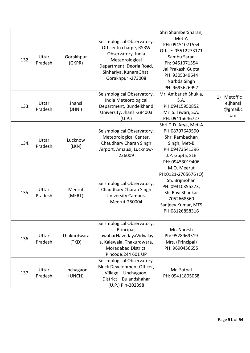| 132. | Uttar<br>Pradesh | Gorakhpur<br>(GKPR)  | Seismological Observatory,<br>Officer In charge, RSRW<br>Observatory, India<br>Meteorological<br>Department, Deoria Road,<br>Sinhariya, KunaraGhat, | Shri ShamberSharan,<br>Met-A<br>PH: 09451071554<br>Office: 05512273171<br>Sambu Saran<br>Ph: 9451071554<br>Jai Prakash Gupta<br>PH 9305349644     |                                              |
|------|------------------|----------------------|-----------------------------------------------------------------------------------------------------------------------------------------------------|---------------------------------------------------------------------------------------------------------------------------------------------------|----------------------------------------------|
|      |                  |                      | Gorakhpur -273008                                                                                                                                   | Narbda Singh<br>PH: 9695626997                                                                                                                    |                                              |
| 133. | Uttar<br>Pradesh | Jhansi<br>(JHNI)     | Seismological Observatory,<br>India Meteorological<br>Department, Bundelkhand<br>University, Jhansi-284003<br>(U.P.)                                | Mr. Ambarish Shukla,<br>S.A.<br>PH:09415950852<br>Mr. S. Tiwari, S.A.<br>PH: 09415646727                                                          | Metoffic<br>1)<br>e.jhansi<br>@gmail.c<br>om |
| 134. | Uttar<br>Pradesh | Lucknow<br>(LKN)     | Seismological Observatory,<br>Meteorological Center,<br>Chaudhary Charan Singh<br>Airport, Amausi, Lucknow-<br>226009                               | Shri D.D. Arya, Met-A<br>PH:08707649590<br>Shri Rambachan<br>Singh, Met-B<br>PH:09473541396<br>J.P. Gupta, SLE<br>PH: 09453019406                 |                                              |
| 135. | Uttar<br>Pradesh | Meerut<br>(MERT)     | Seismological Observatory,<br>Chaudhary Charan Singh<br>University Campus,<br>Meerut-250004                                                         | M.O. Meerut<br>PH:0121-2765676 (O)<br>Sh. Brijmohan<br>PH: 09310355273,<br>Sh. Ravi Shankar<br>7052668560<br>Sanjeev Kumar, MTS<br>PH:08126858316 |                                              |
| 136. | Uttar<br>Pradesh | Thakurdwara<br>(TKD) | Seismological Observatory,<br>Principal,<br>JawaharNavodayaVidyalay<br>a, Kalewala, Thakurdwara,<br>Moradabad District,<br>Pincode: 244 601 UP      | Mr. Naresh<br>Ph: 9528969519<br>Mrs. (Principal)<br>PH: 9690456655                                                                                |                                              |
| 137. | Uttar<br>Pradesh | Unchagaon<br>(UNCH)  | Seismological Observatory,<br><b>Block Development Officer,</b><br>Village - Unchagaon,<br>District - Bulandshahar<br>(U.P.) Pin-202398             | Mr. Satpal<br>PH: 09411805068                                                                                                                     |                                              |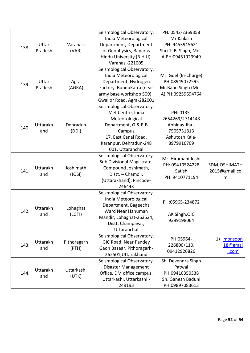| 138. | Uttar<br>Pradesh       | Varanasi<br>(VAR)    | Seismological Observatory,<br>India Meteorological<br>Department, Department<br>of Geophysics, Banaras<br>Hindu University (B.H.U),<br>Varanasi-221005                   | PH. 0542-2369358<br>Mr Kailash<br>PH: 9453945621<br>Shri T. B. Singh, Met-<br>A PH:09451929949 |                                    |
|------|------------------------|----------------------|--------------------------------------------------------------------------------------------------------------------------------------------------------------------------|------------------------------------------------------------------------------------------------|------------------------------------|
| 139. | Uttar<br>Pradesh       | Agra<br>(AGRA)       | Seismological Observatory,<br>India Meteorological<br>Department, Hydrogen<br>Factory, BunduKatra (near<br>army base workshop 509),<br>Gwalior Road, Agra-282001         | Mr. Goel (In-Charge)<br>PH:08949072595<br>Mr.Bapu Singh (Met-<br>A) PH:09259694764             |                                    |
| 140. | <b>Uttarakh</b><br>and | Dehradun<br>(DDI)    | Seismological Observatory,<br>Met Centre, India<br>Meteorological<br>Department, G & R.B<br>Campus<br>17, East Canal Road,<br>Karanpur, Dehradun-248<br>001, Uttaranchal | PH: 0135-<br>2654269/2714143<br>Abhinav Jha -<br>7505751813<br>Ashutosh Kala-<br>8979916709    |                                    |
| 141. | <b>Uttarakh</b><br>and | Joshimath<br>(JOSI)  | Seismological Observatory,<br>Sub Divisional Magistrate,<br>Compound Joshimath,<br>Distt. - Chamoli,<br>(Uttarakhand), Pincode-<br>246443                                | Mr. Hiramani Joshi<br>PH: 09410524228<br>Satish<br>PH: 9410771194                              | SDMJOSHIMATH<br>2015@gmail.co<br>m |
| 142. | Uttarakh<br>and        | Lohaghat<br>(LGTI)   | Seismological Observatory,<br>India Meteorological<br>Department, Bageecha<br>Ward Near Hanuman<br>Mandir, Lohaghat-262524,<br>Distt. Champavat,<br>Uttaranchal          | PH:05965-234872<br>AK Singh, OIC<br>9399198064                                                 |                                    |
| 143. | <b>Uttarakh</b><br>and | Pithoragarh<br>(PTH) | Seismological Observatory,<br>GIC Road, Near Pandey<br>Gaon Bazaar, Pithoragarh-<br>262501, Uttarakhand                                                                  | PH:05964-<br>226800/110,<br>09412926826                                                        | 1)<br>monsoon<br>18@gmai<br>I.com  |
| 144. | Uttarakh<br>and        | Uttarkashi<br>(UTK)  | Seismological Observatory,<br>Disaster Management<br>Office, DM office campus,<br>Uttarkashi, Uttarkashi -<br>249193                                                     | Sh. Devendra Singh<br>Patwal<br>PH:09410350338<br>Sh. Ganesh Baduni<br>PH:09897083613          |                                    |